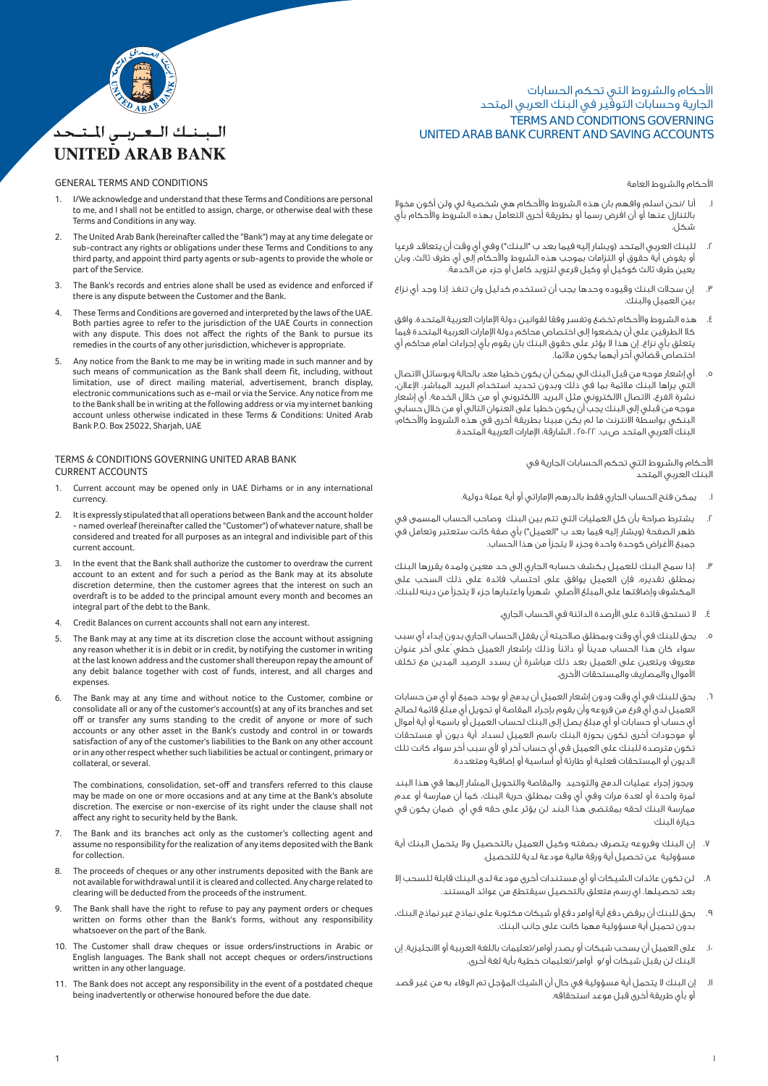

# البينيك التعتريس المتنجد **UNITED ARAB BANK**

### GENERAL TERMS AND CONDITIONS

- 1. I/We acknowledge and understand that these Terms and Conditions are personal to me, and I shall not be entitled to assign, charge, or otherwise deal with these Terms and Conditions in any way.
- 2. The United Arab Bank (hereinafter called the "Bank") may at any time delegate or sub-contract any rights or obligations under these Terms and Conditions to any third party, and appoint third party agents or sub-agents to provide the whole or part of the Service.
- The Bank's records and entries alone shall be used as evidence and enforced if there is any dispute between the Customer and the Bank.
- 4. These Terms and Conditions are governed and interpreted by the laws of the UAE. Both parties agree to refer to the jurisdiction of the UAE Courts in connection with any dispute. This does not affect the rights of the Bank to pursue its remedies in the courts of any other jurisdiction, whichever is appropriate.
- Any notice from the Bank to me may be in writing made in such manner and by such means of communication as the Bank shall deem fit, including, without limitation, use of direct mailing material, advertisement, branch display, electronic communications such as e-mail or via the Service. Any notice from me to the Bank shall be in writing at the following address or via my internet banking account unless otherwise indicated in these Terms & Conditions: United Arab Bank P.O. Box 25022, Sharjah, UAE

### TERMS & CONDITIONS GOVERNING UNITED ARAB BANK CURRENT ACCOUNTS

- Current account may be opened only in UAE Dirhams or in any international currency.
- 2. It is expressly stipulated that all operations between Bank and the account holder - named overleaf (hereinafter called the "Customer") of whatever nature, shall be considered and treated for all purposes as an integral and indivisible part of this current account.
- 3. In the event that the Bank shall authorize the customer to overdraw the current account to an extent and for such a period as the Bank may at its absolute discretion determine, then the customer agrees that the interest on such an overdraft is to be added to the principal amount every month and becomes an integral part of the debt to the Bank.
- 4. Credit Balances on current accounts shall not earn any interest.
- The Bank may at any time at its discretion close the account without assigning any reason whether it is in debit or in credit, by notifying the customer in writing at the last known address and the customer shall thereupon repay the amount of any debit balance together with cost of funds, interest, and all charges and expenses.
- 6. The Bank may at any time and without notice to the Customer, combine or consolidate all or any of the customer's account(s) at any of its branches and set off or transfer any sums standing to the credit of anyone or more of such accounts or any other asset in the Bank's custody and control in or towards satisfaction of any of the customer's liabilities to the Bank on any other account or in any other respect whether such liabilities be actual or contingent, primary or collateral, or several.

 The combinations, consolidation, set-off and transfers referred to this clause may be made on one or more occasions and at any time at the Bank's absolute discretion. The exercise or non-exercise of its right under the clause shall not affect any right to security held by the Bank.

- 7. The Bank and its branches act only as the customer's collecting agent and assume no responsibility for the realization of any items deposited with the Bank for collection.
- 8. The proceeds of cheques or any other instruments deposited with the Bank are not available for withdrawal until it is cleared and collected. Any charge related to clearing will be deducted from the proceeds of the instrument.
- The Bank shall have the right to refuse to pay any payment orders or cheques written on forms other than the Bank's forms, without any responsibility whatsoever on the part of the Bank.
- 10. The Customer shall draw cheques or issue orders/instructions in Arabic or English languages. The Bank shall not accept cheques or orders/instructions written in any other language.
- 11. The Bank does not accept any responsibility in the event of a postdated cheque being inadvertently or otherwise honoured before the due date.

# TERMS AND CONDITIONS GOVERNING UNITED ARAB BANK CURRENT AND SAVING ACCOUNTS الأحكام والشروط التي تحكم الحسابات الجارية وحسابات التوفير في البنك العربي المتحد

### احكام والشروط العامة

- ا. أنا /نحن اسلم وافهم بان هذه الشروط والأحكام هي شخصية لي ولن أكون مخولا بالتنازل عنها أو أن افرض رسما أو بطريقة أخرى التعامل بهذه الشروط والأحكام بأي شكل.
- .٢ للبنك العربي المتحد (ويشار إليه فيما بعد ب "البنك") وفي أي وقت أن يتعاقد فرعيا أو يفوض أية حقوق أو التزامات بموجب هذه الشروط والأحكام إلى أي طرف ثالث، وبان يعين طرف ثالث كوكيل أو وكيل فرعي لتزويد كامل أو جزء من الخدمة.
- .٣ إن سجلات البنك وقيوده وحدها يجب أن تستخدم كدليل وان تنفذ إذا وجد أي نزاع بين العميل والبنك.
- ٤. هذه الشروط والأحكام تخضع وتفسر وفقا لقوانين دولة الإمارات العربية المتحدة. وافق كلا الطرفين على أن يخضعوا إلى اختصاص محاكم دولة اµمارات العربية المتحدة فيما يتعلق بأي نزاع. إن هذا لا يؤثر على حقوق البنك بان يقوم بأي إجراءات أمام محاكم أي اختصاص قضائي آخر أيهما يكون ملائما.
- .٥ أي إشعار موجه من قبل البنك الي يمكن أن يكون خطيا معد بالحالة وبوسائل الاتصال التي يراها البنك ملائمة بما في ذلك وبدون تحديد استخدام البريد المباشر، اµعلان، نشرة الفرع، الاتصال الالكتروني مثل البريد الالكتروني أو من خلال الخدمة. أي إشعار موجه من قبلي إلى البنك يجب أن يكون خطيا على العنوان التالي أو من خلال حسابي لبنكي بواسطة الانترنت ما لم يكن مبينا بطريقة اخرى في هذه الشروط والاحكام: البنك العربي المتحد ص.ب. ٢٥٠٢٢ ، الشارقة، اµمارات العربية المتحدة.

### الأحكام والشروط التى تحكم الحسابات الجارية فى البنك العربي المتحد

- .١ يمكن فتح الحساب الجاري فقط بالدرهم اµماراتي أو أية عملة دولية.
- .٢ يشترط صراحة بأن كل العمليات التي تتم بين البنك وصاحب الحساب المسمى في ظهر الصفحة (ويشار إليه فيما بعد ب "العميل") بأي صفة كانت ستعتبر وتعامل في جميع اغراض كوحدة واحدة وجزء لا يتجزأ من هذا الحساب.
- .٣ إذا سمح البنك للعميل بكشف حسابه الجاري إلى حد معين ولمدة يقررها البنك بمطلق تقديره، فإن العميل يوافق على احتساب فائدة على ذلك السحب على المكشوف وإضافتها على المبلغ الأصلى شهرياً واعتبارها جزء لا يتجزأ من دينه للبنك.
	- ٤. لا تستحق فائدة على الأرصدة الدائنة في الحساب الجاري.
- يحق للبنك في أي وقت وبمطلق صلاحيته أن يقفل الحساب الجاري بدون إبداء أي سبب سواء كان هذا الحساب مديناً أو دائناً وذلك بإشعار العميل خطي على آخر عنوان معروف ويتعين على العميل بعد ذلك مباشرة أن يسدد الرصيد المدين مع تكلف الأموال والمصاريف والمستحقات الأخرى.
- .٦ يحق للبنك في أي وقت ودون إشعار العميل أن يدمج أو يوحد جميع أو أي من حسابات العميل لدى أي فرع من فروعه وأن يقوم بإجراء المقاصة أو تحويل أي مبلغ قائمة لصالح أي حساب أو حسابات أو أي مبلغ يصل إلى البنك لحساب العميل أو باسمه أو أية أموال .<br>أو موجودات أخرى تكون بحوزة البنك باسم العميل لسداد أية ديون أو مستحقات تكون مترصدة للبنك على العميل في أي حساب آخر أو لأي سبب أخر سواء كانت تلك الديون أو المستحقات فعلية أو طارئة أو أساسية أو إضافية ومتعددة.

 ويجوز إجراء عمليات الدمج والتوحيد والمقاصة والتحويل المشار إليها في هذا البند لمرة واحدة أو لعدة مرات وفي أي وقت بمطلق حرية البنك، كما أن ممارسة أو عدم ممارسة البنك لحقه بمقتضى هذا البند لن يؤثر على حقه في أي ضمان يكون في حيازة البنك

- .٧ إن البنك وفروعه يتصرف بصفته وكيل العميل بالتحصيل ولا يتحمل البنك أية مسؤولية عن تحصيل أية ورقة مالية مودعة لدية للتحصيل.
- .٨ لن تكون عائدات الشيكات أو أي مستندات أخرى مودعة لدى البنك قابلة للسحب إلا بعد تحصيلها. اي رسم متعلق بالتحصيل سيقتطع من عوائد المستند.
- .٩ يحق للبنك أن يرفض دفع أية أوامر دفع أو شيكات مكتوبة على نماذج غير نماذج البنك، بدون تحميل أية مسؤولية مهما كانت على جانب البنك.
- .١٠ على العميل أن يسحب شيكات أو يصدر أوامر/تعليمات باللغة العربية أو الانجليزية. إن البنك لن يقبل شيكات أو/و أوامر/تعليمات خطية بأية لغة أخرى.
- .١١ إن البنك لا يتحمل أية مسؤولية في حال أن الشيك المؤجل تم الوفاء به من غير قصد أو بأي طريقة أخرى قبل موعد استحقاقه.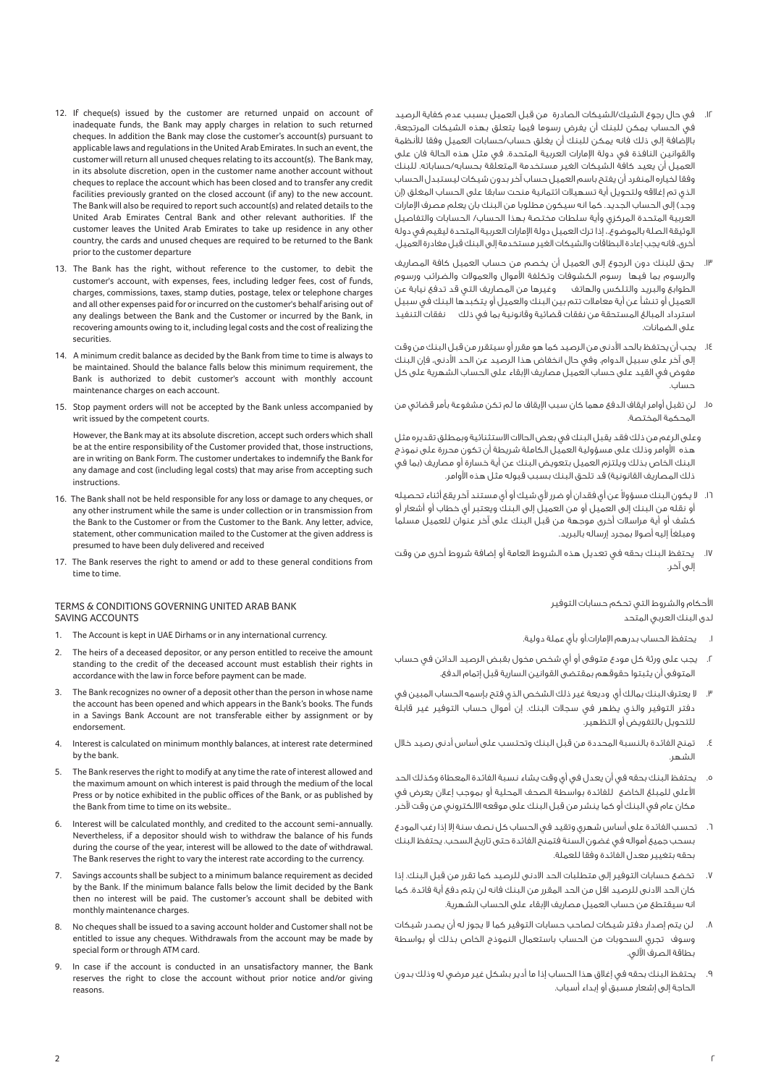- .١٢ في حال رجوع الشيك/الشيكات الصادرة من قبل العميل بسبب عدم كفاية الرصيد في الحساب يمكن للبنك أن يفرض رسوما فيما يتعلق بهذه الشيكات المرتجعة، بالإُضافة إلى ذلك فانه يمكن للبنك أن يغلق حساب/حسابات العميل وفقا للأنظمة والقوانين النافذة في دولة اµمارات العربية المتحدة. في مثل هذه الحالة فان على العميل أن يعيد كافة الشيكات الغير مستخدمة المتعلقة بحسابه/حساباته. للبنك وفقا لخياره المنفرد أن يفتح باسم العميل حساب آخر بدون شيكات ليستبدل الحساب الذي تم إغلاقه ولتحويل أية تسهيلات ائتمانية منحت سابقا على الحساب المغلق (إن وجد) إلى الحساب الجديد. كما انه سيكون مطلوبا من البنك بان يعلم مصرف اµمارات العربية المتحدة المركزي وأية سلطات مختصة بهذا الحساب/ الحسابات والتفاصيل الوثيقة الصلة بالموضوع،. إذا ترك العميل دولة اµمارات العربية المتحدة ليقيم في دولة أخرى، فانه يجب إعادة البطاقات والشيكات الغير مستخدمة إلى البنك قبل مغادرة العميل.
- .١٣ يحق للبنك دون الرجوع إلى العميل أن يخصم من حساب العميل كافة المصاريف والرسوم بما فيها رسوم الكشوفات وتكلفة الأموال والعمولات والضرائب ورسوم الطوابع والبريد والتلكس والهاتف وغيرها من المصاريف التي قد تدفع نيابة عن العميل أو تنشأ عن أية معاملات تتم بين البنك والعميل أو يتكبدها البنك في سبيل استرداد المبالغ المستحقة من نفقات قضائية وقانونية بما في ذلك نفقات التنفيذ على الضمانات.
- ١٤. يجب أن يحتفظ بالحد الأدنى من الرصيد كما هو مقرر أو سيتقرر من قبل البنك من وقت إلى آخر على سبيل الدوام. وفي حال انخفاض هذا الرصيد عن الحد ادنى، فإن البنك مفوض في القيد على حساب العميل مصاريف اµبقاء على الحساب الشهرية على كل حساب.
- .١٥ لن تقبل أوامر ايقاف الدفع مهما كان سبب اµيقاف ما لم تكن مشفوعة بأمر قضائي من المحكمة المختصة.

 وعلى الرغم من ذلك فقد يقبل البنك في بعض الحالات الاستثنائية وبمطلق تقديره مثل هذه الأوامر وذلك على مسؤولية العميل الكاملة شريطة أن تكون محررة على نموذج البنك الخاص بذلك ويلتزم العميل بتعويض البنك عن أية خسارة أو مصاريف (بما في ذلك المصاريف القانونية) قد تلحق البنك بسبب قبوله مثل هذه الأوامر.

- ١٦. لا يكون البنك مسؤولا عن أى فقدان أو ضرر لأى شيك أو أى مستند آخر يقع أثناء تحصيله أو نقله من البنك إلى العميل أو من العميل إلى البنك ويعتبر أي خطاب أو أشعار أو كشف أو أية مراسلات أخرى موجهة من قبل البنك على آخر عنوان للعميل مسلما .<br>ومبلغاً إليه أصولا بمجرد إرساله بالبريد.
- .١٧ يحتفظ البنك بحقه في تعديل هذه الشروط العامة أو إضافة شروط أخرى من وقت إلى آخر.

الأحكام والشروط التى تحكم حسابات التوفير لدى البنك العربي المتحد

- .١ يحتفظ الحساب بدرهم اµمارات.أو بأي عملة دولية.
- .٢ يجب على ورثة كل مودع متوفى أو أي شخص مخول بقبض الرصيد الدائن في حساب المتوفى أن يثبتوا حقوقهم بمقتضى القوانين السارية قبل إتمام الدفع.
- .٣ لا يعترف البنك بمالك أي وديعة غير ذلك الشخص الذي فتح بإسمه الحساب المبين في دفتر التوفير والذي يظهر في سجلات البنك. إن أموال حساب التوفير غير قابلة للتحويل بالتفويض أو التظهير.
- .٤ تمنح الفائدة بالنسبة المحددة من قبل البنك وتحتسب على أساس أدنى رصيد خلال الشهر.
- .٥ يحتفظ البنك بحقه في أن يعدل في أي وقت يشاء نسبة الفائدة المعطاة وكذلك الحد اعلى للمبلغ الخاضع للفائدة بواسطة الصحف المحلية أو بموجب إعلان يعرض في مكان عام في البنك أو كما ينشر من قبل البنك على موقعه الالكتروني من وقت Úخر.
- .٦ تحسب الفائدة على أساس شهري وتقيد في الحساب كل نصف سنة إلا إذا رغب المودع بسحب جميع أمواله في غضون السنة فتمنح الفائدة حتى تاريخ السحب. يحتفظ البنك بحقه بتغيير معدل الفائدة وفقا للعملة.
- .٧ تخضع حسابات التوفير إلى متطلبات الحد الادنى للرصيد كما تقرر من قبل البنك. إذا كان الحد الادنى للرصيد اقل من الحد المقرر من البنك فانه لن يتم دفع أية فائدة. كما انه سيقتطع من حساب العميل مصاريف اµبقاء على الحساب الشهرية.
- .٨ لن يتم إصدار دفتر شيكات لصاحب حسابات التوفير كما لا يجوز له أن يصدر شيكات وسوف تجري السحوبات من الحساب باستعمال النموذج الخاص بذلك أو بواسطة بطاقة الصرف اÚلي.
- .٩ يحتفظ البنك بحقه في إغلاق هذا الحساب إذا ما أدير بشكل غير مرضي له وذلك بدون الحاجة إلى إشعار مسبق أو إبداء أسباب.
- 12. If cheque(s) issued by the customer are returned unpaid on account of inadequate funds, the Bank may apply charges in relation to such returned cheques. In addition the Bank may close the customer's account(s) pursuant to applicable laws and regulations in the United Arab Emirates. In such an event, the customer will return all unused cheques relating to its account(s). The Bank may, in its absolute discretion, open in the customer name another account without cheques to replace the account which has been closed and to transfer any credit facilities previously granted on the closed account (if any) to the new account. The Bank will also be required to report such account(s) and related details to the United Arab Emirates Central Bank and other relevant authorities. If the customer leaves the United Arab Emirates to take up residence in any other country, the cards and unused cheques are required to be returned to the Bank prior to the customer departure
- 13. The Bank has the right, without reference to the customer, to debit the customer's account, with expenses, fees, including ledger fees, cost of funds, charges, commissions, taxes, stamp duties, postage, telex or telephone charges and all other expenses paid for or incurred on the customer's behalf arising out of any dealings between the Bank and the Customer or incurred by the Bank, in recovering amounts owing to it, including legal costs and the cost of realizing the securities.
- 14. A minimum credit balance as decided by the Bank from time to time is always to be maintained. Should the balance falls below this minimum requirement, the Bank is authorized to debit customer's account with monthly account maintenance charges on each account.
- 15. Stop payment orders will not be accepted by the Bank unless accompanied by writ issued by the competent courts.

 However, the Bank may at its absolute discretion, accept such orders which shall be at the entire responsibility of the Customer provided that, those instructions, are in writing on Bank Form. The customer undertakes to indemnify the Bank for any damage and cost (including legal costs) that may arise from accepting such instructions.

- 16. The Bank shall not be held responsible for any loss or damage to any cheques, or any other instrument while the same is under collection or in transmission from the Bank to the Customer or from the Customer to the Bank. Any letter, advice, statement, other communication mailed to the Customer at the given address is presumed to have been duly delivered and received
- 17. The Bank reserves the right to amend or add to these general conditions from time to time.

### TERMS & CONDITIONS GOVERNING UNITED ARAB BANK SAVING ACCOUNTS

- 1. The Account is kept in UAE Dirhams or in any international currency.
- 2. The heirs of a deceased depositor, or any person entitled to receive the amount standing to the credit of the deceased account must establish their rights in accordance with the law in force before payment can be made.
- The Bank recognizes no owner of a deposit other than the person in whose name the account has been opened and which appears in the Bank's books. The funds in a Savings Bank Account are not transferable either by assignment or by endorsement.
- 4. Interest is calculated on minimum monthly balances, at interest rate determined by the bank.
- The Bank reserves the right to modify at any time the rate of interest allowed and the maximum amount on which interest is paid through the medium of the local Press or by notice exhibited in the public offices of the Bank, or as published by the Bank from time to time on its website..
- 6. Interest will be calculated monthly, and credited to the account semi-annually. Nevertheless, if a depositor should wish to withdraw the balance of his funds during the course of the year, interest will be allowed to the date of withdrawal. The Bank reserves the right to vary the interest rate according to the currency.
- 7. Savings accounts shall be subject to a minimum balance requirement as decided by the Bank. If the minimum balance falls below the limit decided by the Bank then no interest will be paid. The customer's account shall be debited with monthly maintenance charges.
- 8. No cheques shall be issued to a saving account holder and Customer shall not be entitled to issue any cheques. Withdrawals from the account may be made by special form or through ATM card.
- In case if the account is conducted in an unsatisfactory manner, the Bank reserves the right to close the account without prior notice and/or giving reasons.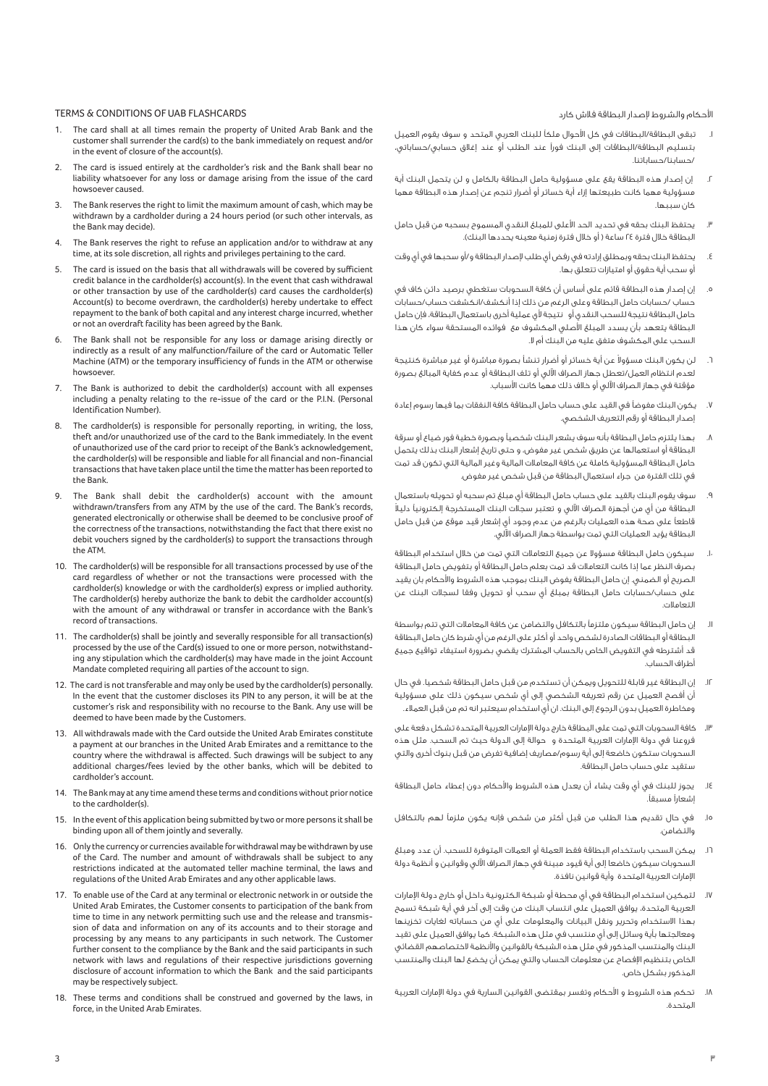احكام والشروط µصدار البطاقة فلاش كارد

- تبقى البطاقة/البطاقات في كل الأحوال ملكاً للبنك العربي المتحد و سوف يقوم العميل بتسليم البطاقة/البطاقات إلى البنك فورÝ عند الطلب أو عند إغلاق حسابي/حساباتي، /حسابنا/حساباتنا.
- .٢ إن إصدار هذه البطاقة يقع على مسؤولية حامل البطاقة بالكامل و لن يتحمل البنك أية مسؤولية مهما كانت طبيعتها إزاء أية خسائر أو أضرار تنجم عن إصدار هذه البطاقة مهما كان سببها.
- يحتفظ البنك بحقه في تحديد الحد الأعلى للمبلغ النقدي المسموح بسحبه من قبل حامل البطاقة خلال فترة ٢٤ ساعة ( أو خلال فترة زمنية معينه يحددها البنك).
- .٤ يحتفظ البنك بحقه وبمطلق إرادته في رفض أي طلب µصدار البطاقة و/أو سحبها في أي وقت أو سحب أية حقوق أو امتيازات تتعلق بها.
- .٥ إن إصدار هذه البطاقة قائم على أساس أن كافة السحوبات ستغطي برصيد دائن كاف في حساب /حسابات حامل البطاقة وعلى الرغم من ذلك إذا أنكشف/انكشفت حساب/حسابات حامل البطاقة نتيجة للسحب النقدى أو نتيجة لأى عملية أخرى باستعمال البطاقة، فإن حامل البطاقة يتعهد بأن يسدد المبلغ الأصلى المكشوف مع فوائده المستحقة سواء كان هذا السحب على المكشوف متفق عليه من البنك أم لا.
- ٦. لن يكون البنك مسؤولا عن أية خسائر أو أضرار تنشأ بصورة مباشرة أو غير مباشرة كنتيجة لعدم انتظام العمل/تعطل جهاز الصراف اÚلي أو تلف البطاقة أو عدم كفاية المبالغ بصورة مؤقتة في جهاز الصراف اÚلي أو خلاف ذلك مهما كانت اسباب.
- .<br>٧. يكون البنك مفوضاً في القيد على حساب حامل البطاقة كافة النفقات بما فيها رسوم إعادة إصدار البطاقة أو رقم التعريف الشخصي.
- بهذا يلتزم حامل البطاقة بأنه سوف يشعر البنك شخصيآ وبصورة خطية فور ضياع أو سرقة البطاقة أو استعمالها عن طريق شخص غير مفوض، و حتى تاريخ إشعار البنك بذلك يتحمل حامل البطاقة المسؤولية كاملة عن كافة المعاملات المالية وغير المالية التي تكون قد تمت في تلك الفترة من جراء استعمال البطاقة من قبل شخص غير مفوض.
- .٩ سوف يقوم البنك بالقيد على حساب حامل البطاقة أي مبلغ تم سحبه أو تحويله باستعمال ً البطاقة من أي من أجهزة الصراف اÚلي و تعتبر سجلات البنك المستخرجة إلكترونيÇ دليلا قاطعاً على صحة هذه العمليات بالرغم من عدم وجود أي إشعار قيد موقع من قبل حامل البطاقة يؤيد العمليات التي تمت بواسطة جهاز الصراف اÚلي.
- .١٠ سيكون حامل البطاقة مسؤولا عن جميع التعاملات التي تمت من خلال استخدام البطاقة بصرف النظر عما إذا كانت التعاملات قد تمت بعلم حامل البطاقة أو بتفويض حامل البطاقة الصريح أو الضمني. إن حامل البطاقة يفوض البنك بموجب هذه الشروط والأحكام بان يقيد على حساب/حسابات حامل البطاقة بمبلغ أي سحب أو تحويل وفقا لسجلات البنك عن التعاملات.
- اا. إن حامل البطاقة سيكون ملتزماً بالتكافل والتضامن عن كافة المعاملات التي تتم بواسطة البطاقة أو البطاقات الصادرة لشخص واحد أو أكثر على الرغم من أي شرط كان حامل البطاقة قد أشترطه في التفويض الخاص بالحساب المشترك يقضي بضرورة استيفاء تواقيع جميع أطراف الحساب.
- .١٢ إن البطاقة غير قابلة للتحويل ويمكن أن تستخدم من قبل حامل البطاقة شخصيا. في حال أن أفصح العميل عن رقم تعريفه الشخصي إلى أي شخص سيكون ذلك على مسؤولية ومخاطرة العميل بدون الرجوع إلى البنك. ان أي استخدام سيعتبر انه تم من قبل العملاء.
- .١٣ كافة السحوبات التي تمت على البطاقة خارج دولة اµمارات العربية المتحدة تشكل دفعة على فروعنا في دولة اµمارات العربية المتحدة و حوالة إلى الدولة حيث تم السحب. مثل هذه السحوبات ستكون خاضعة إلى أية رسوم/مصاريف إضافية تفرض من قبل بنوك أخرى والتي ستقيد على حساب حامل البطاقة.
- ١٤. يجوز للبنك في أي وقت يشاء أن يعدل هذه الشروط والأحكام دون إعطاء حامل البطاقة إشعاراً مسبقاً.
- .١٥ في حال تقديم هذا الطلب من قبل أكثر من شخص فإنه يكون ملزمÇ لهم بالتكافل .<br>مالتضامن.
- .١٦ يمكن السحب باستخدام البطاقة فقط العملة أو العملات المتوفرة للسحب. أن عدد ومبلغ السحوبات سيكون خاضعا إلى أية قيود مبينة في جهاز الصراف اÚلي وقوانين و أنظمة دولة اµمارات العربية المتحدة وأية قوانين نافذة.
- .١٧ لتمكين استخدام البطاقة في أي محطة أو شبكة الكترونية داخل أو خارج دولة اµمارات العربية المتحدة، يوافق العميل على انتساب البنك من وقت إلى آخر في أية شبكة تسمح بهذا الاستخدام وتحرير ونقل البيانات والمعلومات على أي من حساباته لغايات تخزينها ومعالجتها بأية وسائل إلى أي منتسب في مثل هذه الشبكة. كما يوافق العميل على تقيد البنك والمنتسب المذكور في مثل هذه الشبكة بالقوانين وانظمة لاختصاصهم القضائي الخاص بتنظيم اµفصاح عن معلومات الحساب والتي يمكن أن يخضع لها البنك والمنتسب المذكور بشكل خاص.
- .١٨ تحكم هذه الشروط و احكام وتفسر بمقتضى القوانين السارية في دولة اµمارات العربية المتحدة.

### TERMS & CONDITIONS OF UAB FLASHCARDS

- The card shall at all times remain the property of United Arab Bank and the customer shall surrender the card(s) to the bank immediately on request and/or in the event of closure of the account(s).
- 2. The card is issued entirely at the cardholder's risk and the Bank shall bear no liability whatsoever for any loss or damage arising from the issue of the card howsoever caused.
- 3. The Bank reserves the right to limit the maximum amount of cash, which may be withdrawn by a cardholder during a 24 hours period (or such other intervals, as the Bank may decide).
- The Bank reserves the right to refuse an application and/or to withdraw at any time, at its sole discretion, all rights and privileges pertaining to the card.
- The card is issued on the basis that all withdrawals will be covered by sufficient credit balance in the cardholder(s) account(s). In the event that cash withdrawal or other transaction by use of the cardholder(s) card causes the cardholder(s) Account(s) to become overdrawn, the cardholder(s) hereby undertake to effect repayment to the bank of both capital and any interest charge incurred, whether or not an overdraft facility has been agreed by the Bank.
- The Bank shall not be responsible for any loss or damage arising directly or indirectly as a result of any malfunction/failure of the card or Automatic Teller Machine (ATM) or the temporary insufficiency of funds in the ATM or otherwise howsoever.
- 7. The Bank is authorized to debit the cardholder(s) account with all expenses including a penalty relating to the re-issue of the card or the P.I.N. (Personal Identification Number).
- The cardholder(s) is responsible for personally reporting, in writing, the loss, theft and/or unauthorized use of the card to the Bank immediately. In the event of unauthorized use of the card prior to receipt of the Bank's acknowledgement, the cardholder(s) will be responsible and liable for all financial and non-financial transactions that have taken place until the time the matter has been reported to the Bank.
- 9. The Bank shall debit the cardholder(s) account with the amount withdrawn/transfers from any ATM by the use of the card. The Bank's records, generated electronically or otherwise shall be deemed to be conclusive proof of the correctness of the transactions, notwithstanding the fact that there exist no debit vouchers signed by the cardholder(s) to support the transactions through the ATM.
- 10. The cardholder(s) will be responsible for all transactions processed by use of the card regardless of whether or not the transactions were processed with the cardholder(s) knowledge or with the cardholder(s) express or implied authority. The cardholder(s) hereby authorize the bank to debit the cardholder account(s) with the amount of any withdrawal or transfer in accordance with the Bank's record of transactions.
- 11. The cardholder(s) shall be jointly and severally responsible for all transaction(s) processed by the use of the Card(s) issued to one or more person, notwithstanding any stipulation which the cardholder(s) may have made in the joint Account Mandate completed requiring all parties of the account to sign.
- 12. The card is not transferable and may only be used by the cardholder(s) personally. In the event that the customer discloses its PIN to any person, it will be at the customer's risk and responsibility with no recourse to the Bank. Any use will be deemed to have been made by the Customers.
- 13. All withdrawals made with the Card outside the United Arab Emirates constitute a payment at our branches in the United Arab Emirates and a remittance to the country where the withdrawal is affected. Such drawings will be subject to any additional charges/fees levied by the other banks, which will be debited to cardholder's account.
- 14. The Bank may at any time amend these terms and conditions without prior notice to the cardholder(s).
- 15. In the event of this application being submitted by two or more persons it shall be binding upon all of them jointly and severally.
- 16. Only the currency or currencies available for withdrawal may be withdrawn by use of the Card. The number and amount of withdrawals shall be subject to any restrictions indicated at the automated teller machine terminal, the laws and regulations of the United Arab Emirates and any other applicable laws.
- 17. To enable use of the Card at any terminal or electronic network in or outside the United Arab Emirates, the Customer consents to participation of the bank from time to time in any network permitting such use and the release and transmission of data and information on any of its accounts and to their storage and processing by any means to any participants in such network. The Customer further consent to the compliance by the Bank and the said participants in such network with laws and regulations of their respective jurisdictions governing disclosure of account information to which the Bank and the said participants may be respectively subject.
- 18. These terms and conditions shall be construed and governed by the laws, in force, in the United Arab Emirates.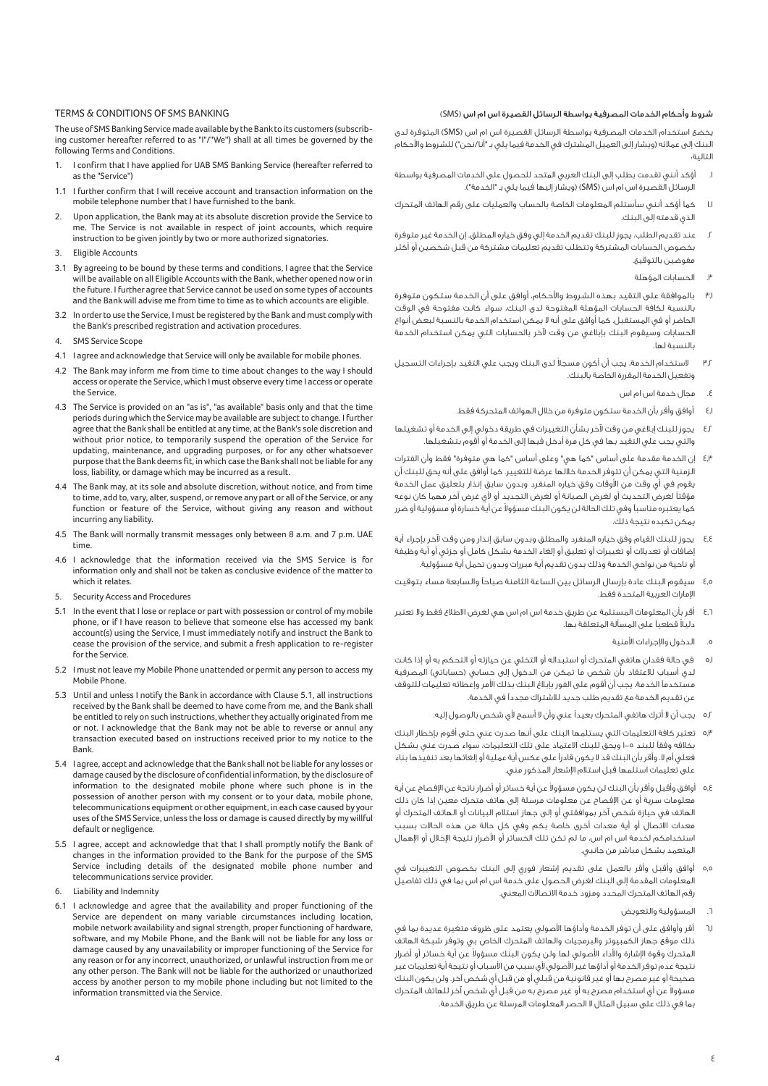## TERMS & CONDITIONS OF SMS BANKING

The use of SMS Banking Service made available by the Bank to its customers (subscribing customer hereafter referred to as "I"/''We'') shall at all times be governed by the following Terms and Conditions.

- I confirm that I have applied for UAB SMS Banking Service (hereafter referred to as the "Service")
- 1.1 I further confirm that I will receive account and transaction information on the mobile telephone number that I have furnished to the bank.
- 2. Upon application, the Bank may at its absolute discretion provide the Service to me. The Service is not available in respect of joint accounts, which require instruction to be given jointly by two or more authorized signatories.
- Eligible Accounts
- 3.1 By agreeing to be bound by these terms and conditions, I agree that the Service will be available on all Eligible Accounts with the Bank, whether opened now or in the future. I further agree that Service cannot be used on some types of accounts and the Bank will advise me from time to time as to which accounts are eligible.
- 3.2 In order to use the Service, I must be registered by the Bank and must comply with the Bank's prescribed registration and activation procedures.
- 4. SMS Service Scope
- 4.1 I agree and acknowledge that Service will only be available for mobile phones.
- The Bank may inform me from time to time about changes to the way I should access or operate the Service, which I must observe every time I access or operate the Service.
- 4.3 The Service is provided on an "as is", "as available" basis only and that the time periods during which the Service may be available are subject to change. I further agree that the Bank shall be entitled at any time, at the Bank's sole discretion and without prior notice, to temporarily suspend the operation of the Service for updating, maintenance, and upgrading purposes, or for any other whatsoever purpose that the Bank deems fit, in which case the Bank shall not be liable for any loss, liability, or damage which may be incurred as a result.
- 4.4 The Bank may, at its sole and absolute discretion, without notice, and from time to time, add to, vary, alter, suspend, or remove any part or all of the Service, or any function or feature of the Service, without giving any reason and without incurring any liability.
- 4.5 The Bank will normally transmit messages only between 8 a.m. and 7 p.m. UAE time.
- 4.6 I acknowledge that the information received via the SMS Service is for information only and shall not be taken as conclusive evidence of the matter to which it relates.
- 5. Security Access and Procedures
- 5.1 In the event that I lose or replace or part with possession or control of my mobile phone, or if I have reason to believe that someone else has accessed my bank account(s) using the Service, I must immediately notify and instruct the Bank to cease the provision of the service, and submit a fresh application to re-register for the Service.
- 5.2 I must not leave my Mobile Phone unattended or permit any person to access my Mobile Phone.
- 5.3 Until and unless I notify the Bank in accordance with Clause 5.1, all instructions received by the Bank shall be deemed to have come from me, and the Bank shall be entitled to rely on such instructions, whether they actually originated from me or not. I acknowledge that the Bank may not be able to reverse or annul any transaction executed based on instructions received prior to my notice to the Bank.
- 5.4 I agree, accept and acknowledge that the Bank shall not be liable for any losses or damage caused by the disclosure of confidential information, by the disclosure of information to the designated mobile phone where such phone is in the possession of another person with my consent or to your data, mobile phone, telecommunications equipment or other equipment, in each case caused by your uses of the SMS Service, unless the loss or damage is caused directly by my willful default or negligence.
- 5.5 I agree, accept and acknowledge that that I shall promptly notify the Bank of changes in the information provided to the Bank for the purpose of the SMS Service including details of the designated mobile phone number and telecommunications service provider.
- 6. Liability and Indemnity
- 6.1 I acknowledge and agree that the availability and proper functioning of the Service are dependent on many variable circumstances including location, mobile network availability and signal strength, proper functioning of hardware, software, and my Mobile Phone, and the Bank will not be liable for any loss or damage caused by any unavailability or improper functioning of the Service for any reason or for any incorrect, unauthorized, or unlawful instruction from me or any other person. The Bank will not be liable for the authorized or unauthorized access by another person to my mobile phone including but not limited to the information transmitted via the Service.

#### شروط وأحكام الخدمات المصرفية بواسطة الرسائل القصيرة اس ام اس (SMS(

يخضع استخدام الخدمات المصرفية بواسطة الرسائل القصيرة اس ام اس (SMS (المتوفرة لدى البنك إلى عملائه (ويشار إلى العميل المشترك في الخدمة فيما يلي بـ "أنا/نحن") للشروط والأحكام التالية:

- .١ أؤكد أنني تقدمت بطلب إلى البنك العربي المتحد للحصول على الخدمات المصرفية بواسطة الرسائل القصيرة اس ام اس (SMS) (ويشار إليها فيما يلي بـ "الخدمة").
- ١.١ كما أؤكد أنني سأستلم المعلومات الخاصة بالحساب والعمليات على رقم الهاتف المتحرك الذي قدمته إلى البنك.
- .٢ عند تقديم الطلب، يجوز للبنك تقديم الخدمة إلي وفق خياره المطلق. إن الخدمة غير متوفرة بخصوص الحسابات المشتركة وتتطلب تقديم تعليمات مشتركة من قبل شخصين أو أكثر مفوضين بالتوقيع.
	- .٣ الحسابات المؤهلة
- ٣٫١ بالموافقة على التقيد بهذه الشروط والأحكام، أوافق على أن الخدمة ستكون متوفرة بالنسبة لكافة الحسابات المؤهلة المفتوحة لدى البنك، سواء كانت مفتوحة في الوقت الحاضر أو في المستقبل. كما أوافق على أنه لا يمكن استخدام الخدمة بالنسبة لبعض أنواع الحسابات وسيقوم البنك بإبلاغي من وقت Úخر بالحسابات التي يمكن استخدام الخدمة بالنسبة لها.
- ٣٫٢ ً لاستخدام الخدمة، يجب أن أكون مسجلا لدى البنك ويجب علي التقيد بإجراءات التسجيل وتفعيل الخدمة المقررة الخاصة بالبنك.
	- .٤ مجال خدمة اس ام اس
	- ٤٫١ أوافق وأقر بأن الخدمة ستكون متوفرة من خلال الهواتف المتحركة فقط.
- ٤٫٢ يجوز للبنك إبلاغي من وقت Úخر بشأن التغييرات في طريقة دخولي إلى الخدمة أو تشغيلها والتي يجب علي التقيد بها في كل مرة أدخل فيها إلى الخدمة أو أقوم بتشغيلها.
- ٤٫٣ إن الخدمة مقدمة على أساس "كما هي" وعلى أساس "كما هي متوفرة" فقط وأن الفترات الزمنية التي يمكن أن تتوفر الخدمة خلالها عرضة للتغيير. كما أوافق على أنه يحق للبنك أن يقوم في أي وقت من الأوقات وفق خياره المنفرد وبدون سابق إنذار بتعليق عمل الخدمة مؤقتاً لغرض التحديث أو لغرض الصيانة أو لغرض التجديد أو لأى غرض آخر مهما كان نوعه كما يعتبره مناسباً وفى تلك الحالة لن يكون البنك مسؤولا عن أية خسارة أو مسؤولية أو ضرر يمكن تكبده نتيجة ذلك.
- ٤٫٤ يجوز للبنك القيام وفق خياره المنفرد والمطلق وبدون سابق إنذار ومن وقت Úخر بإجراء أية إضافات أو تعديلات أو تغييرات أو تعليق أو إلغاء الخدمة بشكل كامل أو جزئي أو أية وظيفة أو ناحية من نواحي الخدمة وذلك بدون تقديم أية مبررات وبدون تحمل أية مسؤولية.
- ٤٫٥ سيقوم البنك عادة بإرسال الرسائل بين الساعة الثامنة صباحاً والسابعة مساء بتوقيت اµمارات العربية المتحدة فقط.
- ٤٫٦ أقر بأن المعلومات المستلمة عن طريق خدمة اس ام اس هي لغرض الاطلاع فقط ولا تعتبر دليلاً قطعياً على المسألة المتعلقة بها.
	- ه. الدخول والإجراءات الأمنية
- ٥٫١ في حالة فقدان هاتفي المتحرك أو استبداله أو التخلي عن حيازته أو التحكم به أو إذا كانت لدي أسباب للاعتقاد بأن شخص ما تمكن من الدخول إلى حسابي (حساباتي) المصرفية ي<br>مستخدماً الخدمة، يجب أن أقوم على الفور بإبلاغ البنك بذلك الأمر وإعطائه تعليمات للتوقف عن تقديم الخدمة مع تقديم طلب جديد للاشتراك مجدداً في الخدمة.
	- ٥٫٢ يجب أن لا أترك هاتفي المتحرك بعيدÝ عني وأن لا أسمح ي شخص بالوصول إليه.
- ٥٫٣ تعتبر كافة التعليمات التي يستلمها البنك على أنها صدرت عني حتى أقوم بإخطار البنك بخلافه وفقاً للبند ٥–١ ويحق للبنك الاعتماد على تلك التعليمات، سواء صدرت عني بشكل فعلي أم لا. وأقر بأن البنك قد لا يكون قادراً على عكس أية عملية أو إلغائها بعد تنفيذها بناء على تعليمات استلمها قبل استلام اµشعار المذكور مني.
- 0٫٤ أوافق وأقبل وأقر بأن البنك لن يكون مسؤولا عن أية خسائر أو أضرار ناتجة عن الإفصاح عن أية معلومات سرية أو عن اµفصاح عن معلومات مرسلة إلى هاتف متحرك معين إذا كان ذلك الهاتف في حيازة شخص آخر بموافقتي أو إلى جهاز استلام البيانات أو الهاتف المتحرك أو معدات الاتصال أو أية معدات أخرى خاصة بكم وفي كل حالة من هذه الحالات بسبب استخدامكم لخدمة اس ام اس، ما لم تكن تلك الخسائر أو اضرار نتيجة اµخلال أو اµهمال المتعمد بشكل مباشر من جانبي.
- ٥٫٥ أوافق وأقبل وأقر بالعمل على تقديم إشعار فوري إلى البنك بخصوص التغييرات في المعلومات المقدمة إلى البنك لغرض الحصول على خدمة اس ام اس بما في ذلك تفاصيل رقم الهاتف المتحرك المحدد ومزود خدمة الاتصالات المعني.
	- المسؤولية والتعويض
- ٦٫١ أقر وأوافق على أن توفر الخدمة وأداؤها اصولي يعتمد على ظروف متغيرة عديدة بما في ذلك موقع جهاز الكمبيوتر والبرمجيات والهاتف المتحرك الخاص بي وتوفر شبكة الهاتف لمتحرك وقوة الإشارة والأداء الأصولي لها ولن يكون البنك مسؤولاً عن أية خسائر أو أضرار نتيجة عدم توفر الخدمة أو أداؤها غير الأصولى لأى سبب من الأسباب أو نتيجة أية تعليمات غير صحيحة أو غير مصرح بها أو غير قانونية من قبلي أو من قبل أي شخص آخر. ولن يكون البنك عسؤولا عن أي استخدام مصرح به أو غير مصرح به من قبل أي شخص آخر للهاتف المتحرك بما في ذلك على سبيل المثال لا الحصر المعلومات المرسلة عن طريق الخدمة.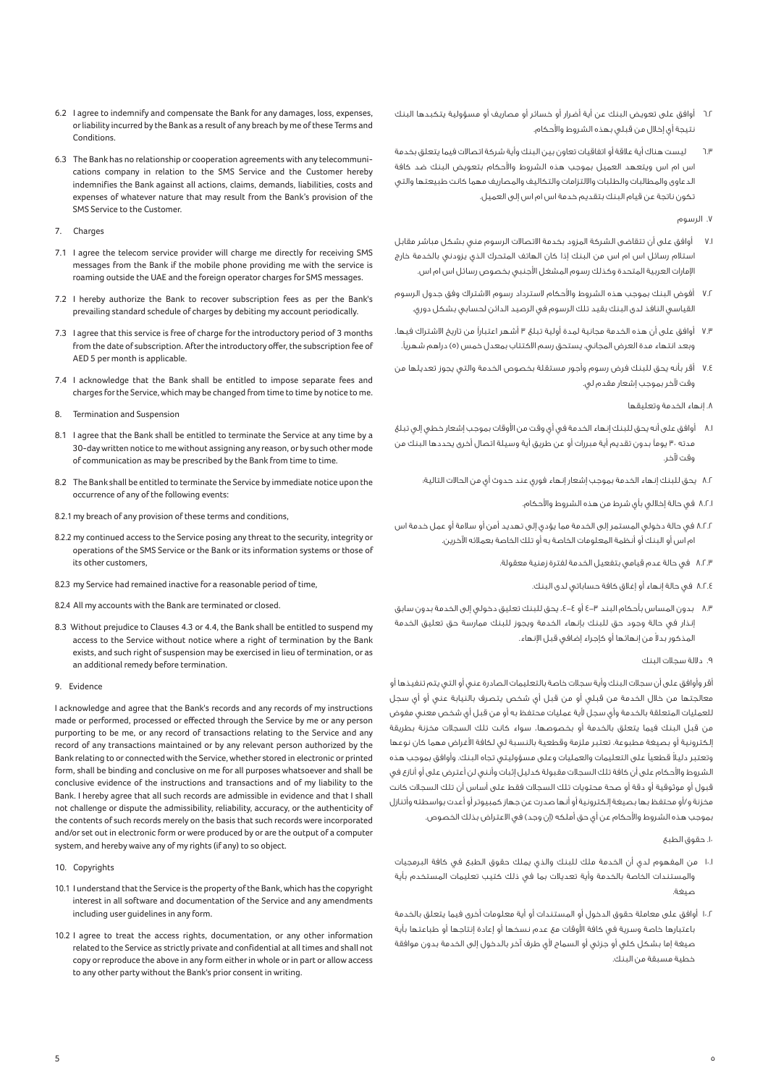- 6.2 I agree to indemnify and compensate the Bank for any damages, loss, expenses, or liability incurred by the Bank as a result of any breach by me of these Terms and Conditions.
- 6.3 The Bank has no relationship or cooperation agreements with any telecommunications company in relation to the SMS Service and the Customer hereby indemnifies the Bank against all actions, claims, demands, liabilities, costs and expenses of whatever nature that may result from the Bank's provision of the SMS Service to the Customer.
- 7. Charges
- 7.1 I agree the telecom service provider will charge me directly for receiving SMS messages from the Bank if the mobile phone providing me with the service is roaming outside the UAE and the foreign operator charges for SMS messages.
- 7.2 I hereby authorize the Bank to recover subscription fees as per the Bank's prevailing standard schedule of charges by debiting my account periodically.
- 7.3 I agree that this service is free of charge for the introductory period of 3 months from the date of subscription. After the introductory offer, the subscription fee of AED 5 per month is applicable.
- 7.4 I acknowledge that the Bank shall be entitled to impose separate fees and charges for the Service, which may be changed from time to time by notice to me.
- 8. Termination and Suspension
- 8.1 I agree that the Bank shall be entitled to terminate the Service at any time by a 30-day written notice to me without assigning any reason, or by such other mode of communication as may be prescribed by the Bank from time to time.
- 8.2 The Bank shall be entitled to terminate the Service by immediate notice upon the occurrence of any of the following events:
- 8.2.1 my breach of any provision of these terms and conditions,
- 8.2.2 my continued access to the Service posing any threat to the security, integrity or operations of the SMS Service or the Bank or its information systems or those of its other customers,
- 8.2.3 my Service had remained inactive for a reasonable period of time,
- 8.2.4 All my accounts with the Bank are terminated or closed.
- 8.3 Without prejudice to Clauses 4.3 or 4.4, the Bank shall be entitled to suspend my access to the Service without notice where a right of termination by the Bank exists, and such right of suspension may be exercised in lieu of termination, or as an additional remedy before termination.

#### 9. Evidence

I acknowledge and agree that the Bank's records and any records of my instructions made or performed, processed or effected through the Service by me or any person purporting to be me, or any record of transactions relating to the Service and any record of any transactions maintained or by any relevant person authorized by the Bank relating to or connected with the Service, whether stored in electronic or printed form, shall be binding and conclusive on me for all purposes whatsoever and shall be conclusive evidence of the instructions and transactions and of my liability to the Bank. I hereby agree that all such records are admissible in evidence and that I shall not challenge or dispute the admissibility, reliability, accuracy, or the authenticity of the contents of such records merely on the basis that such records were incorporated and/or set out in electronic form or were produced by or are the output of a computer system, and hereby waive any of my rights (if any) to so object.

- 10. Copyrights
- 10.1 I understand that the Service is the property of the Bank, which has the copyright interest in all software and documentation of the Service and any amendments including user guidelines in any form.
- 10.2 I agree to treat the access rights, documentation, or any other information related to the Service as strictly private and confidential at all times and shall not copy or reproduce the above in any form either in whole or in part or allow access to any other party without the Bank's prior consent in writing.
- 6.2 أوافق على تعويض البنك عن أية أضرار أو خسائر أو مصاريف أو مسؤولية يتكبدها البنك نتيجة أي إخلال من قبلي بهذه الشروط والأحكام.
- 6.3 ليست هناك أية علاقة أو اتفاقيات تعاون بين البنك وأية شركة اتصالات فيما يتعلق بخدمة اس ام اس ويتعهد العميل بموجب هذه الشروط والأحكام بتعويض البنك ضد كافة الدعاوى والمطالبات والطلبات والالتزامات والتكاليف والمصاريف مهما كانت طبيعتها والتي تكون ناتجة عن قيام البنك بتقديم خدمة اس ام اس إلى العميل.

.7 الرسوم

- 7.1 أوافق على أن تتقاضى الشركة المزود بخدمة الاتصالات الرسوم مني بشكل مباشر مقابل استلام رسائل اس ام اس من البنك إذا كان الهاتف المتحرك الذي يزودني بالخدمة خارج اµمارات العربية المتحدة وكذلك رسوم المشغل اجنبي بخصوص رسائل اس ام اس.
- 7.2 أفوض البنك بموجب هذه الشروط واحكام لاسترداد رسوم الاشتراك وفق جدول الرسوم القياسي النافذ لدى البنك بقيد تلك الرسوم في الرصيد الدائن لحسابي بشكل دوري.
- 7.3 أوافق على أن هذه الخدمة مجانية لمدة أولية تبلغ 3 أشهر اعتبارÝ من تاريخ الاشتراك فيها. وبعد انتهاء مدة العرض المجاني، يستحق رسم الاكتتاب بمعدل خمس (٥) دراهم شهرياً.
- 7.4 أقر بأنه يحق للبنك فرض رسوم وأجور مستقلة بخصوص الخدمة والتي يجوز تعديلها من وقت Úخر بموجب إشعار مقدم لي.
	- .8 إنهاء الخدمة وتعليقها
- 8.1 أوافق على أنه يحق للبنك إنهاء الخدمة في أي وقت من اوقات بموجب إشعار خطي إلي تبلغ مدته ٣٠ يوماً بدون تقديم أية مبررات أو عن طريق أية وسيلة اتصال أخرى يحددها البنك من وقت Úخر.
	- 8.2 يحق للبنك إنهاء الخدمة بموجب إشعار إنهاء فوري عند حدوث أي من الحالات التالية:
		- 8.2.1 في حالة إخلالي بأي شرط من هذه الشروط واحكام.
- 8.2.2 في حالة دخولي المستمر إلى الخدمة مما يؤدي إلى تهديد أمن أو سلامة أو عمل خدمة اس ام اس أو البنك أو أنظمة المعلومات الخاصة به أو تلك الخاصة بعملائه اÚخرين.
	- 8.2.3 في حالة عدم قيامي بتفعيل الخدمة لفترة زمنية معقولة.
		- 8.2.4 في حالة إنهاء أو إغلاق كافة حساباتي لدى البنك.
- 8.3 بدون المساس بأحكام البند 4-3 أو ،4-4 يحق للبنك تعليق دخولي إلى الخدمة بدون سابق إنذار في حالة وجود حق للبنك بإنهاء الخدمة ويجوز للبنك ممارسة حق تعليق الخدمة لمذكور بدلا من إنهائها أو كإجراء إضافى قبل الإنهاء.
	- .9 دلالة سجلات البنك

أقر وأوافق على أن سجلات البنك وأية سجلات خاصة بالتعليمات الصادرة عني أو التي يتم تنفيذها أو معالجتها من خلال الخدمة من قبلي أو من قبل أي شخص يتصرف بالنيابة عني أو أي سجل للعمليات المتعلقة بالخدمة وأى سجل لأية عمليات محتفظ به أو من قبل أي شخص معنى مفوض من قبل البنك فيما يتعلق بالخدمة أو بخصوصها، سواء كانت تلك السجلات مخزنة بطريقة إلكترونية أو بصيغة مطبوعة، تعتبر ملزمة وقطعية بالنسبة لي لكافة اغراض مهما كان نوعها وتعتبر دليلاً قطعياً على التعليمات والعمليات وعلى مسؤوليتى تجاه البنك. وأوافق بموجب هذه الشروط والأحكام على أن كافة تلك السجلات مقبولة كدليل إثبات وأنني لن أعترض على أو أنازع في قبول أو موثوقية أو دقة أو صحة محتويات تلك السجلات فقط على أساس أن تلك السجلات كانت مخزنة و/أو محتفظ بها بصيغة إلكترونية أو أنها صدرت عن جهاز كمبيوتر أو أعدت بواسطته وأتنازل بموجب هذه الشروط والأحكام عن أي حق أملكه (إن وجد) في الاعتراض بذلك الخصوص.

.10 حقوق الطبع

- 10.1 من المفهوم لدي أن الخدمة ملك للبنك والذي يملك حقوق الطبع في كافة البرمجيات والمستندات الخاصة بالخدمة وأية تعديلات بما في ذلك كتيب تعليمات المستخدم بأية صيغة.
- 10.2 أوافق على معاملة حقوق الدخول أو المستندات أو أية معلومات أخرى فيما يتعلق بالخدمة باعتبارها خاصة وسرية في كافة اوقات مع عدم نسخها أو إعادة إنتاجها أو طباعتها بأية صيغة إما بشكل كلى أو جزئى أو السماح لأى طرف آخر بالدخول إلى الخدمة بدون موافقة خطية مسبقة من البنك.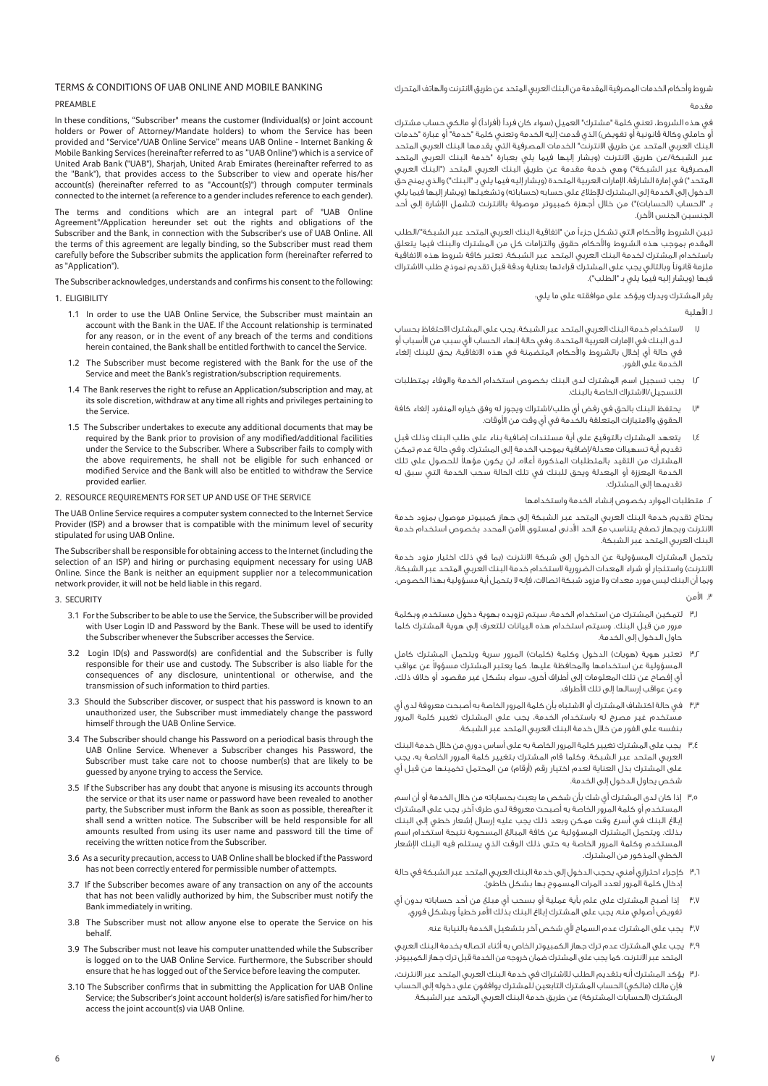شروط وأحكام الخدمات المصرفية المقدمة من البنك العربي المتحد عن طريق الانترنت والهاتف المتحرك مقدمة

# TERMS & CONDITIONS OF UAB ONLINE AND MOBILE BANKING

### PREAMBLE

In these conditions, "Subscriber" means the customer (Individual(s) or Joint account holders or Power of Attorney/Mandate holders) to whom the Service has been provided and "Service"/UAB Online Service" means UAB Online - Internet Banking & Mobile Banking Services (hereinafter referred to as "UAB Online") which is a service of United Arab Bank ("UAB"), Sharjah, United Arab Emirates (hereinafter referred to as the "Bank"), that provides access to the Subscriber to view and operate his/her account(s) (hereinafter referred to as "Account(s)") through computer terminals connected to the internet (a reference to a gender includes reference to each gender).

The terms and conditions which are an integral part of "UAB Online Agreement"/Application hereunder set out the rights and obligations of the Subscriber and the Bank, in connection with the Subscriber's use of UAB Online. All the terms of this agreement are legally binding, so the Subscriber must read them carefully before the Subscriber submits the application form (hereinafter referred to as "Application").

The Subscriber acknowledges, understands and confirms his consent to the following: 1. ELIGIBILITY

- 1.1 In order to use the UAB Online Service, the Subscriber must maintain an account with the Bank in the UAE. If the Account relationship is terminated for any reason, or in the event of any breach of the terms and conditions herein contained, the Bank shall be entitled forthwith to cancel the Service.
- 1.2 The Subscriber must become registered with the Bank for the use of the Service and meet the Bank's registration/subscription requirements.
- 1.4 The Bank reserves the right to refuse an Application/subscription and may, at its sole discretion, withdraw at any time all rights and privileges pertaining to the Service.
- 1.5 The Subscriber undertakes to execute any additional documents that may be required by the Bank prior to provision of any modified/additional facilities under the Service to the Subscriber. Where a Subscriber fails to comply with the above requirements, he shall not be eligible for such enhanced or modified Service and the Bank will also be entitled to withdraw the Service provided earlier.
- 2. RESOURCE REQUIREMENTS FOR SET UP AND USE OF THE SERVICE

The UAB Online Service requires a computer system connected to the Internet Service Provider (ISP) and a browser that is compatible with the minimum level of security stipulated for using UAB Online.

The Subscriber shall be responsible for obtaining access to the Internet (including the selection of an ISP) and hiring or purchasing equipment necessary for using UAB Online. Since the Bank is neither an equipment supplier nor a telecommunication network provider, it will not be held liable in this regard.

#### 3. SECURITY

- 3.1 For the Subscriber to be able to use the Service, the Subscriber will be provided with User Login ID and Password by the Bank. These will be used to identify the Subscriber whenever the Subscriber accesses the Service.
- 3.2 Login ID(s) and Password(s) are confidential and the Subscriber is fully responsible for their use and custody. The Subscriber is also liable for the consequences of any disclosure, unintentional or otherwise, and the transmission of such information to third parties.
- 3.3 Should the Subscriber discover, or suspect that his password is known to an unauthorized user, the Subscriber must immediately change the password himself through the UAB Online Service.
- 3.4 The Subscriber should change his Password on a periodical basis through the UAB Online Service. Whenever a Subscriber changes his Password, the Subscriber must take care not to choose number(s) that are likely to be guessed by anyone trying to access the Service.
- 3.5 If the Subscriber has any doubt that anyone is misusing its accounts through the service or that its user name or password have been revealed to another party, the Subscriber must inform the Bank as soon as possible, thereafter it shall send a written notice. The Subscriber will be held responsible for all amounts resulted from using its user name and password till the time of receiving the written notice from the Subscriber.
- 3.6 As a security precaution, access to UAB Online shall be blocked if the Password has not been correctly entered for permissible number of attempts.
- 3.7 If the Subscriber becomes aware of any transaction on any of the accounts that has not been validly authorized by him, the Subscriber must notify the Bank immediately in writing.
- 3.8 The Subscriber must not allow anyone else to operate the Service on his behalf.
- 3.9 The Subscriber must not leave his computer unattended while the Subscriber is logged on to the UAB Online Service. Furthermore, the Subscriber should ensure that he has logged out of the Service before leaving the computer.
- 3.10 The Subscriber confirms that in submitting the Application for UAB Online Service; the Subscriber's Joint account holder(s) is/are satisfied for him/her to access the joint account(s) via UAB Online.

في هذه الشروط، تعني كلمة "مشترك" العميل (سواء كان فرداً (أفراداً) أو مالكي حساب مشترك أو حاملي وكالة قانونية أو تفويض) الذي قدمت إليه الخدمة وتعني كلمة "خدمة" أو عبارة "خدمات ر<br>البنك العربي المتحد عن طريق الانترنت" الخدمات المصرفية التي يقدمها البنك العربي المتحد عبر الشبكة/عن طريق الانترنت (ويشار إليها فيما يلي بعبارة "خدمة البنك العربي المتحد المصرفية عبر الشبكة") وهي خدمة مقدمة عن طريق البنك العربي المتحد ("البنك العربي المتحد") في إمارة الشارقة، اµمارات العربية المتحدة (ويشار إليه فيما يلي بـ "البنك") والذي يمنح حق الدخول إلى الخدمة إلى المشترك للإطلاع على حسابه (حساباته) وتشغيلها (ويشار إليها فيما يلي بـ "الحساب (الحسابات)") من خلال أجهزة كمبيوتر موصولة بالانترنت (تشمل اµشارة إلى أحد الجنسين الجنس اÚخر).

تبين الشروط والأحكام التى تشكل جزءاً من "اتفاقية البنك العربى المتحد عبر الشبكة"/الطلب المقدم بموجب هذه الشروط واحكام حقوق والتزامات كل من المشترك والبنك فيما يتعلق باستخدام المشترك لخدمة البنك العربي المتحد عبر الشبكة. تعتبر كافة شروط هذه الاتفاقية ملزمة قانوناً وبالتالي يجب على المشترك قراءتها بعناية ودقة قبل تقديم نموذج طلب الاشتراك فيها (ويشار إليه فيما يلي بـ "الطلب").

يقر المشترك ويدرك ويؤكد على موافقته على ما يلي:

.١ اهلية

- ١٫١ لاستخدام خدمة البنك العربي المتحد عبر الشبكة، يجب على المشترك الاحتفاظ بحساب لدى البنك في الإمارات العربية المتحدة. وفي حالة إنهاء الحساب لأي سبب من الأسباب أو .<br>في حالة أي إخلال بالشروط والأحكام المتضمنة في هذه الاتفاقية، يحق للبنك إلغاء الخدمة على الفور.
- ١٫٢ يجب تسجيل اسم المشترك لدى البنك بخصوص استخدام الخدمة والوفاء بمتطلبات التسجيل/الاشتراك الخاصة بالبنك.
- يحتفظ البنك بالحق في رفض أي طلب/اشتراك ويجوز له وفق خياره المنفرد إلغاء كافة الحقوق والامتيازات المتعلقة بالخدمة في أي وقت من الأوقات.
- ١٫٤ يتعهد المشترك بالتوقيع على أية مستندات إضافية بناء على طلب البنك وذلك قبل تقديم أية تسهيلات معدلة/إضافية بموجب الخدمة إلى المشترك. وفي حالة عدم تمكن ً المشترك من التقيد بالمتطلبات المذكورة أعلاه، لن يكون مؤهلا للحصول على تلك الخدمة المعززة أو المعدلة ويحق للبنك في تلك الحالة سحب الخدمة التي سبق له تقديمها إلى المشترك.

.٢ متطلبات الموارد بخصوص إنشاء الخدمة واستخدامها

يحتاج تقديم خدمة البنك العربي المتحد عبر الشبكة إلى جهاز كمبيوتر موصول بمزود خدمة الانترنت وبجهاز تصفح يتناسب مع الحد ادنى لمستوى امن المحدد بخصوص استخدام خدمة البنك العربي المتحد عبر الشبكة.

يتحمل المشترك المسؤولية عن الدخول إلى شبكة الانترنت (بما في ذلك اختيار مزود خدمة الانترنت) واستئجار أو شراء المعدات الضرورية لاستخدام خدمة البنك العربي المتحد عبر الشبكة. وبما أن البنك ليس مورد معدات ولا مزود شبكة اتصالات، فإنه لا يتحمل أية مسؤولية بهذا الخصوص.

#### .٣ امن

- ٣٫١ لتمكين المشترك من استخدام الخدمة، سيتم تزويده بهوية دخول مستخدم وبكلمة مرور من قبل البنك. وسيتم استخدام هذه البيانات للتعرف إلى هوية المشترك كلما حاول الدخول إلى الخدمة.
- ٣٫٢ تعتبر هوية (هويات) الدخول وكلمة (كلمات) المرور سرية ويتحمل المشترك كامل لمسؤولية عن استخدامها والمحافظة عليها. كما يعتبر المشترك مسؤولا عن عواقب أي إفصاح عن تلك المعلومات إلى أطراف أخرى، سواء بشكل غير مقصود أو خلاف ذلك، وعن عواقب إرسالها إلى تلك اطراف.
- ٣٫٣ في حالة اكتشاف المشترك أو الاشتباه بأن كلمة المرور الخاصة به أصبحت معروفة لدى أي .<br>مستخدم غير مصرح له باستخدام الخدمة، يجب على المشترك تغيير كلمة المرور بنفسه على الفور من خلال خدمة البنك العربي المتحد عبر الشبكة.
- ٣٫٤ يجب على المشترك تغيير كلمة المرور الخاصة به على أساس دوري من خلال خدمة البنك العربي المتحد عبر الشبكة. وكلما قام المشترك بتغيير كلمة المرور الخاصة به، يجب على المشترك بذل العناية لعدم اختيار رقم (أرقام) من المحتمل تخمينها من قبل أي شخص يحاول الدخول إلى الخدمة.
- ٣٫٥ إذا كان لدى المشترك أي شك بأن شخص ما يعبث بحساباته من خلال الخدمة أو أن اسم المستخدم أو كلمة المرور الخاصة به أصبحت معروفة لدى طرف آخر، يجب على المشترك إبلاغ البنك في أسرع وقت ممكن وبعد ذلك يجب عليه إرسال إشعار خطي إلى البنك بذلك. ويتحمل المشترك المسؤولية عن كافة المبالغ المسحوبة نتيجة استخدام اسم المستخدم وكلمة المرور الخاصة به حتى ذلك الوقت الذي يستلم فيه البنك اµشعار الخطي المذكور من المشترك.
- ٣٫٦ كإجراء احترازي أمني، يحجب الدخول إلى خدمة البنك العربي المتحد عبر الشبكة في حالة إدخال كلمة المرور لعدد المرات المسموح بها بشكل خاطئ.
- ٣٫٧ إذا أصبح المشترك على علم بأية عملية أو بسحب أي مبلغ من أحد حساباته بدون أي - .<br>تفويض أصولي منه، يجب على المشترك إبلاغ البنك بذلك الأمر خطياً وبشكل فوري.
	- ٣٫٧ يجب على المشترك عدم السماح لأى شخص آخر بتشغيل الخدمة بالنيابة عنه.
- ٣٫٩ يجب على المشترك عدم ترك جهاز الكمبيوتر الخاص به أثناء اتصاله بخدمة البنك العربي المتحد عبر الانترنت. كما يجب على المشترك ضمان خروجه من الخدمة قبل ترك جهاز الكمبيوتر.
- ٣٫١٠ يؤكد المشترك أنه بتقديم الطلب للاشتراك في خدمة البنك العربي المتحد عبر الانترنت، فإن مالك (مالكي) الحساب المشترك التابعين للمشترك يوافقون على دخوله إلى الحساب المشترك (الحسابات المشتركة) عن طريق خدمة البنك العربي المتحد عبر الشبكة.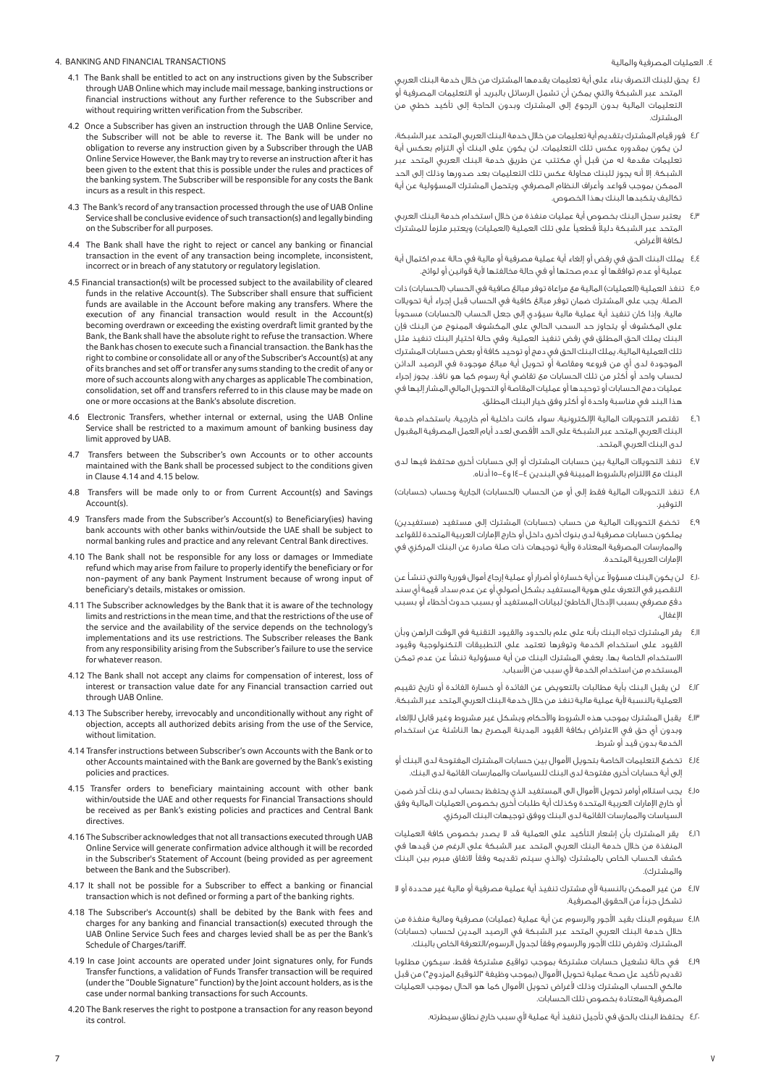### 4. BANKING AND FINANCIAL TRANSACTIONS

- 4.1 The Bank shall be entitled to act on any instructions given by the Subscriber through UAB Online which may include mail message, banking instructions or financial instructions without any further reference to the Subscriber and without requiring written verification from the Subscriber.
- 4.2 Once a Subscriber has given an instruction through the UAB Online Service, the Subscriber will not be able to reverse it. The Bank will be under no obligation to reverse any instruction given by a Subscriber through the UAB Online Service However, the Bank may try to reverse an instruction after it has been given to the extent that this is possible under the rules and practices of the banking system. The Subscriber will be responsible for any costs the Bank incurs as a result in this respect.
- 4.3 The Bank's record of any transaction processed through the use of UAB Online Service shall be conclusive evidence of such transaction(s) and legally binding on the Subscriber for all purposes.
- 4.4 The Bank shall have the right to reject or cancel any banking or financial transaction in the event of any transaction being incomplete, inconsistent, incorrect or in breach of any statutory or regulatory legislation.
- 4.5 Financial transaction(s) wilt be processed subject to the availability of cleared funds in the relative Account(s). The Subscriber shall ensure that sufficient funds are available in the Account before making any transfers. Where the execution of any financial transaction would result in the Account(s) becoming overdrawn or exceeding the existing overdraft limit granted by the Bank, the Bank shall have the absolute right to refuse the transaction. Where the Bank has chosen to execute such a financial transaction. the Bank has the right to combine or consolidate all or any of the Subscriber's Account(s) at any of its branches and set off or transfer any sums standing to the credit of any or more of such accounts along with any charges as applicable The combination, consolidation, set off and transfers referred to in this clause may be made on one or more occasions at the Bank's absolute discretion.
- 4.6 Electronic Transfers, whether internal or external, using the UAB Online Service shall be restricted to a maximum amount of banking business day limit approved by UAB.
- 4.7 Transfers between the Subscriber's own Accounts or to other accounts maintained with the Bank shall be processed subject to the conditions given in Clause 4.14 and 4.15 below.
- 4.8 Transfers will be made only to or from Current Account(s) and Savings Account(s).
- 4.9 Transfers made from the Subscriber's Account(s) to Beneficiary(ies) having bank accounts with other banks within/outside the UAE shall be subject to normal banking rules and practice and any relevant Central Bank directives.
- 4.10 The Bank shall not be responsible for any loss or damages or Immediate refund which may arise from failure to properly identify the beneficiary or for non-payment of any bank Payment Instrument because of wrong input of beneficiary's details, mistakes or omission.
- 4.11 The Subscriber acknowledges by the Bank that it is aware of the technology limits and restrictions in the mean time, and that the restrictions of the use of the service and the availability of the service depends on the technology's implementations and its use restrictions. The Subscriber releases the Bank from any responsibility arising from the Subscriber's failure to use the service for whatever reason.
- 4.12 The Bank shall not accept any claims for compensation of interest, loss of interest or transaction value date for any Financial transaction carried out through UAB Online.
- 4.13 The Subscriber hereby, irrevocably and unconditionally without any right of objection, accepts all authorized debits arising from the use of the Service, without limitation.
- 4.14 Transfer instructions between Subscriber's own Accounts with the Bank or to other Accounts maintained with the Bank are governed by the Bank's existing policies and practices.
- 4.15 Transfer orders to beneficiary maintaining account with other bank within/outside the UAE and other requests for Financial Transactions should be received as per Bank's existing policies and practices and Central Bank directives.
- 4.16 The Subscriber acknowledges that not all transactions executed through UAB Online Service will generate confirmation advice although it will be recorded in the Subscriber's Statement of Account (being provided as per agreement between the Bank and the Subscriber).
- 4.17 It shall not be possible for a Subscriber to effect a banking or financial transaction which is not defined or forming a part of the banking rights.
- 4.18 The Subscriber's Account(s) shall be debited by the Bank with fees and charges for any banking and financial transaction(s) executed through the UAB Online Service Such fees and charges levied shall be as per the Bank's Schedule of Charges/tariff.
- 4.19 In case Joint accounts are operated under Joint signatures only, for Funds Transfer functions, a validation of Funds Transfer transaction will be required (under the "Double Signature" function) by the Joint account holders, as is the case under normal banking transactions for such Accounts.
- 4.20 The Bank reserves the right to postpone a transaction for any reason beyond its control.

.٤ العمليات المصرفية والمالية

- ٤٫١ يحق للبنك التصرف بناء على أية تعليمات يقدمها المشترك من خلال خدمة البنك العربي المتحد عبر الشبكة والتي يمكن أن تشمل الرسائل بالبريد أو التعليمات المصرفية أو التعليمات المالية بدون الرجوع إلى المشترك وبدون الحاجة إلى تأكيد خطي من المشترك.
- ٤٫٢ فور قيام المشترك بتقديم أية تعليمات من خلال خدمة البنك العربي المتحد عبر الشبكة، لن يكون بمقدوره عكس تلك التعليمات. لن يكون على البنك أي التزام بعكس أية تعليمات مقدمة له من قبل أي مكتتب عن طريق خدمة البنك العربي المتحد عبر الشبكة. إلا أنه يجوز للبنك محاولة عكس تلك التعليمات بعد صدورها وذلك إلى الحد الممكن بموجب قواعد وأعراف النظام المصرفي. ويتحمل المشترك المسؤولية عن أية تكاليف يتكبدها البنك بهذا الخصوص.
- ٤٫٣ يعتبر سجل البنك بخصوص أية عمليات منفذة من خلال استخدام خدمة البنك العربي المتحد عبر الشبكة دليلاً قطعياً على تلك العملية (العمليات) ويعتبر ملزماً للمشترك لكافة الأغراض.
- ٤٫٤ يملك البنك الحق في رفض أو إلغاء أية عملية مصرفية أو مالية في حالة عدم اكتمال أية عملية أو عدم توافقها أو عدم صحتها أو في حالة مخالفتها ية قوانين أو لوائح.
- ٤٫٥ تنفذ العملية (العمليات) المالية مع مراعاة توفر مبالغ صافية في الحساب (الحسابات) ذات الصلة. يجب على المشترك ضمان توفر مبالغ كافية في الحساب قبل إجراء أية تحويلات مالية. وإذا كان تنفيذ أية عملية مالية سيؤدي إلى جعل الحساب (الحسابات) مسحوباً على المكشوف أو يتجاوز حد السحب الحالي على المكشوف الممنوح من البنك فإن البنك يملك الحق المطلق في رفض تنفيذ العملية. وفي حالة اختيار البنك تنفيذ مثل تلك العملية المالية، يملك البنك الحق في دمج أو توحيد كافة أو بعض حسابات المشترك الموجودة لدى أي من فروعه ومقاصة أو تحويل أية مبالغ موجودة في الرصيد الدائن لحساب واحد أو أكثر من تلك الحسابات مع تقاضي أية رسوم كما هو نافذ. يجوز إجراء عمليات دمج الحسابات أو توحيدها أو عمليات المقاصة أو التحويل المالي المشار إليها في هذا البند في مناسبة واحدة أو أكثر وفق خيار البنك المطلق.
- ٤٫٦ تقتصر التحويلات المالية اµلكترونية، سواء كانت داخلية أم خارجية، باستخدام خدمة البنك العربي المتحد عبر الشبكة على الحد اقصى لعدد أيام العمل المصرفية المقبول لدى البنك العربي المتحد.
- ٤٫٧ تنفذ التحويلات المالية بين حسابات المشترك أو إلى حسابات أخرى محتفظ فيها لدى البنك مع الالتزام بالشروط المبينة في البندين ١٤-٤ و١٥-٤ أدناه.
- ٤٫٨ تنفذ التحويلات المالية فقط إلى أو من الحساب (الحسابات) الجارية وحساب (حسابات) التوفير.
- ٤٫٩ تخضع التحويلات المالية من حساب (حسابات) المشترك إلى مستفيد (مستفيدين) يملكون حسابات مصرفية لدى بنوك أخرى داخل أو خارج اµمارات العربية المتحدة للقواعد .<br>والممارسات المصرفية المعتادة ولأية توجيهات ذات صلة صادرة عن البنك المركزي في اµمارات العربية المتحدة.
- ٤٫١٠ لن يكون البنك مسؤولا عن أية خسارة أو أضرار أو عملية إرجاع أموال فورية والتى تنشأ عن التقصير في التعرف على هوية المستفيد بشكل أصولي أو عن عدم سداد قيمة أي سند دفع مصرفي بسبب اµدخال الخاطئ لبيانات المستفيد أو بسبب حدوث أخطاء أو بسبب اµغفال.
- ٤٫١١ يقر المشترك تجاه البنك بأنه على علم بالحدود والقيود التقنية في الوقت الراهن وبأن القيود على استخدام الخدمة وتوفرها تعتمد على التطبيقات التكنولوجية وقيود الاستخدام الخاصة بها. يعفي المشترك البنك من أية مسؤولية تنشأ عن عدم تمكن المستخدم من استخدام الخدمة لأق سبب من الأسباب.
- ٤٫١٢ لن يقبل البنك بأية مطالبات بالتعويض عن الفائدة أو خسارة الفائدة أو تاريخ تقييم العملية بالنسبة لأية عملية مالية تنفذ من خلال خدمة البنك العربي المتحد عبر الشبكة.
- ٤٫۱۴ يقبل المشترك بموجب هذه الشروط والأحكام وبشكل غير مشروط وغير قابل للإلغاء وبدون أي حق في الاعتراض بكافة القيود المدينة المصرح بها الناشئة عن استخدام الخدمة بدون قيد أو شرط.
- ٤٫١٤ تخضع التعليمات الخاصة بتحويل الأموال بين حسابات المشترك المفتوحة لدى البنك أو إلى أية حسابات أخرى مفتوحة لدى البنك للسياسات والممارسات القائمة لدى البنك.
- ٤٫١٥ يجب استلام أوامر تحويل الأموال الى المستفيد الذي يحتفظ بحساب لدى بنك آخر ضمن أو خارج اµمارات العربية المتحدة وكذلك أية طلبات أخرى بخصوص العمليات المالية وفق السياسات والممارسات القائمة لدى البنك ووفق توجيهات البنك المركزي.
- ٤٫١٦ يقر المشترك بأن إشعار التأكيد على العملية قد لا يصدر بخصوص كافة العمليات المنفذة من خلال خدمة البنك العربي المتحد عبر الشبكة على الرغم من قيدها في كشف الحساب الخاص بالمشترك (والذي سيتم تقديمه وفقاً لاتفاق مبرم بين البنك والمشترك).
- ٤٫١٧ من غير الممكن بالنسبة لأى مشترك تنفيذ أية عملية مصرفية أو مالية غير محددة أو لا تشكل جزءاً من الحقوق المصرفية.
- ٤٫١٨ سيقوم البنك بقيد الأجور والرسوم عن أية عملية (عمليات) مصرفية ومالية منفذة من خلال خدمة البنك العربي المتحد عبر الشبكة في الرصيد المدين لحساب (حسابات) المشترك. وتفرض تلك الأجور والرسوم وفقاً لجدول الرسوم/التعرفة الخاص بالبنك.
- ٤٫١٩ في حالة تشغيل حسابات مشتركة بموجب تواقيع مشتركة فقط، سيكون مطلوبا .<br>تقديم تأكيد عل صحة عملية تحويل الأموال (بموجب وظيفة "التوقيع المزدوج") من قبل مالكي الحساب المشترك وذلك لأغراض تحويل الأموال كما هو الحال بموجب العمليات المصرفية المعتادة بخصوص تلك الحسابات.
	- ٤٫٢٠ يحتفظ البنك بالحق فى تأجيل تنفيذ أية عملية لأى سبب خارج نطاق سيطرته.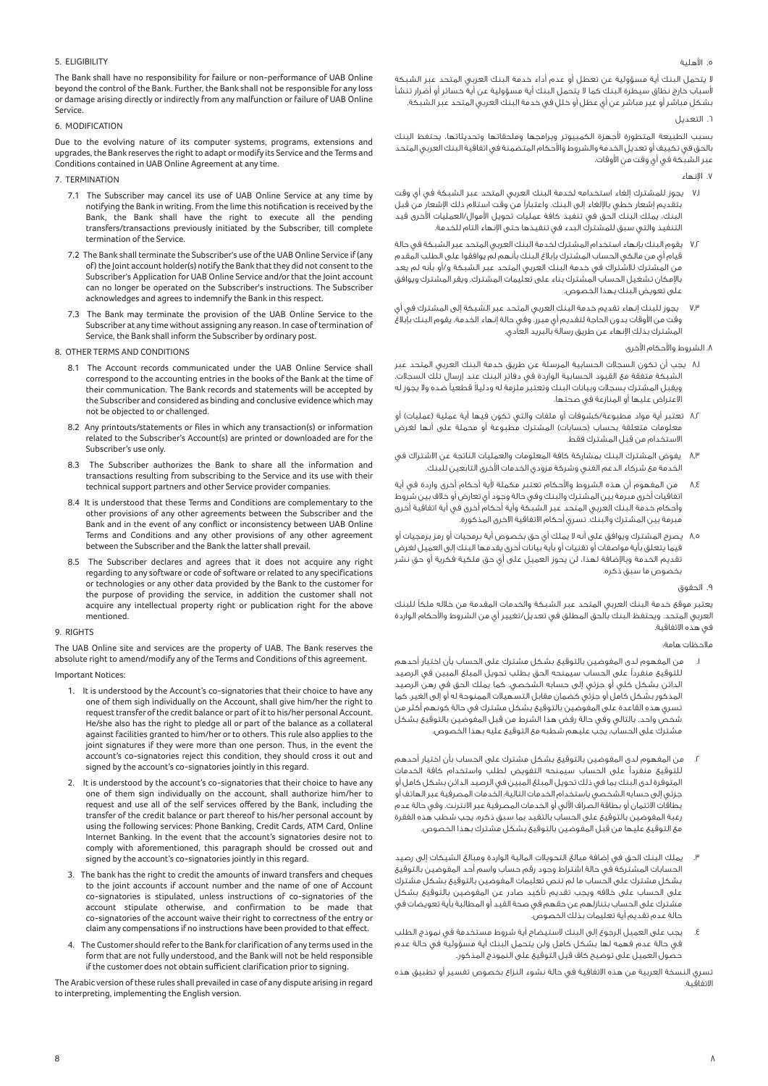### .٥ اهلية

لا يتحمل البنك أية مسؤولية عن تعطل أو عدم أداء خدمة البنك العربي المتحد عبر الشبكة سباب خارج نطاق سيطرة البنك كما لا يتحمل البنك أية مسؤولية عن أية خسائر أو أضرار تنشأ بشكل مباشر أو غير مباشر عن أي عطل أو خلل في خدمة البنك العربي المتحد عبر الشبكة.

#### ٦. التعديل

بسبب الطبيعة المتطورة لأجهزة الكمبيوتر وبرامجها وملحقاتها وتحديثاتها، يحتفظ البنك بالحق في تكييف أو تعديل الخدمة والشروط واحكام المتضمنة في اتفاقية البنك العربي المتحد عبر الشبكة في أي وقت من الأوقات.

- .٧ اµنهاء
- ٧٫١ يجوز للمشترك إلغاء استخدامه لخدمة البنك العربي المتحد عبر الشبكة في أي وقت ...<br>بتقديم إشعار خطي بالإلغاء إلى البنك. واعتباراً من وقت استلام ذلك الإشعار من قبل البنك، يملك البنك الحق في تنفيذ كافة عمليات تحويل الأموال/العمليات الأخرى قيد التنفيذ والتي سبق للمشترك البدء في تنفيذها حتى اµنهاء التام للخدمة.
- ٧٫٢ يقوم البنك بإنهاء استخدام المشترك لخدمة البنك العربي المتحد عبر الشبكة في حالة قيام أي من مالكي الحساب المشترك بإبلاغ البنك بأنهم لم يوافقوا على الطلب المقدم من المشترك للاشتراك في خدمة البنك العربي المتحد عبر الشبكة و/أو بأنه لم يعد باµمكان تشغيل الحساب المشترك بناء على تعليمات المشترك. ويقر المشترك ويوافق على تعويض البنك بهذا الخصوص.
- يجوز للبنك إنهاء تقديم خدمة البنك العربي المتحد عبر الشبكة إلى المشترك في أي وقت من اوقات بدون الحاجة لتقديم أي مبرر. وفي حالة إنهاء الخدمة، يقوم البنك بإبلاغ المشترك بذلك اµنهاء عن طريق رسالة بالبريد العادي.

### ٨. الشروط والأحكام الأخرى

- ٨٫١ يجب أن تكون السجلات الحسابية المرسلة عن طريق خدمة البنك العربي المتحد عبر الشبكة متفقة مع القيود الحسابية الواردة في دفاتر البنك عند إرسال تلك السجلات. ويقبل المشترك بسجلات وبيانات البنك وتعتبر ملزمة له ودليلاً قطعياً ضده ولا يجوز له الاعتراض عليها أو المنازعة في صحتها.
- ٨٫٢ تعتبر أية مواد مطبوعة/كشوفات أو ملفات والتي تكون فيها أية عملية (عمليات) أو معلومات متعلقة بحساب (حسابات) المشترك مطبوعة أو محملة على أنها لغرض الاستخدام من قبل المشترك فقط.
- ٨٫٣ يفوض المشترك البنك بمشاركة كافة المعلومات والعمليات الناتجة عن الاشتراك في الخدمة مع شركاء الدعم الغني وشركة مزودي الخدمات الأخرى التابعين للبنك.
- من المفهوم أن هذه الشروط والأحكام تعتبر مكملة لأية أحكام أخرى واردة فى أية اتفاقيات أخرى مبرمة بين المشترك والبنك وفي حالة وجود أي تعارض أو خلاف بين شروط وأحكام خدمة البنك العربي المتحد عبر الشبكة وأية أحكام أخرى في أية اتفاقية أخرى مبرمة بين المشترك والبنك. تسري أحكام الاتفاقية الاخرى المذكورة.
- ٨٫٥ يصرح المشترك ويوافق على أنه لا يملك أي حق بخصوص أية برمجيات أو رمز برمجيات أو .<br>فيما يتعلق بأية مواصفات أو تقنيات أو بأية بيانات أخرى يقدمها البنك إلى العميل لغرض تقديم الخدمة وباµضافة لهذا، لن يحوز العميل على أي حق ملكية فكرية أو حق نشر بخصوص ما سبق ذكره.

#### .٩ الحقوق

يعتبر موقع خدمة البنك العربي المتحد عبر الشبكة والخدمات المقدمة من خلاله ملكÇ للبنك العربي المتحد. ويحتفظ البنك بالحق المطلق في تعديل/تغيير أي من الشروط والأحكام الواردة في هذه الاتفاقية.

#### ملاحظات هامة:

- .١ من المفهوم لدى المفوضين بالتوقيع بشكل مشترك على الحساب بأن اختيار أحدهم للتوقيع منفرداً على الحساب سيمنحه الحق بطلب تحويل المبلغ المبين في الرصيد الدائن بشكل كلي أو جزئي إلى حسابه الشخصي. كما يملك الحق في رهن الرصيد المذكور بشكل كامل أو جزئي كضمان مقابل التسهيلات الممنوحة له أو إلى الغير. كما تسري هذه القاعدة على المفوضين بالتوقيع بشكل مشترك في حالة كونهم أكثر من شخص واحد. بالتالي وفي حالة رفض هذا الشرط من قبل المفوضين بالتوقيع بشكل مشترك على الحساب، يجب عليهم شطبه مع التوقيع عليه بهذا الخصوص.
- .٢ من المفهوم لدى المفوضين بالتوقيع بشكل مشترك على الحساب بأن اختيار أحدهم .<br>للتوقيع منفرداً على الحساب سيمنحه التفويض لطلب واستخدام كافة الخدمات المتوفرة لدى البنك بما في ذلك تحويل المبلغ المبين في الرصيد الدائن بشكل كامل أو جزئي إلى حسابه الشخصي باستخدام الخدمات التالية: الخدمات المصرفية عبر الهاتف أو بطاقات الائتمان أو بطاقة الصراف اÚلي أو الخدمات المصرفية عبر الانترنت. وفي حالة عدم رغبة المفوضين بالتوقيع على الحساب بالتقيد بما سبق ذكره، يجب شطب هذه الفقرة مع التوقيع عليها من قبل المفوضين بالتوقيع بشكل مشترك بهذا الخصوص.
- يملك البنك الحق في إضافة مبالغ التحويلات المالية الواردة ومبالغ الشيكات إلى رصيد الحسابات المشتركة في حالة اشتراط وجود رقم حساب واسم أحد المفوضين بالتوقيع بشكل مشترك على الحساب ما لم تنص تعليمات المفوضين بالتوقيع بشكل مشترك على الحساب على خلافه ويجب تقديم تأكيد صادر عن المفوضين بالتوقيع بشكل مشترك على الحساب بتنازلهم عن حقهم في صحة القيد أو المطالبة بأية تعويضات في حالة عدم تقديم أية تعليمات بذلك الخصوص.
- .٤ يجب على العميل الرجوع إلى البنك لاستيضاح أية شروط مستخدمة في نموذج الطلب في حالة عدم فهمه لها بشكل كامل ولن يتحمل البنك أية مسؤولية في حالة عدم حصول العميل على توضيح كاف قبل التوقيع على النموذج المذكور.

تسري النسخة العربية من هذه الاتفاقية في حالة نشوء النزاع بخصوص تفسير أو تطبيق هذه الاتفاقية.

#### 5. ELIGIBILITY

The Bank shall have no responsibility for failure or non-performance of UAB Online beyond the control of the Bank. Further, the Bank shall not be responsible for any loss or damage arising directly or indirectly from any malfunction or failure of UAB Online Service.

#### 6. MODIFICATION

Due to the evolving nature of its computer systems, programs, extensions and upgrades, the Bank reserves the right to adapt or modify its Service and the Terms and Conditions contained in UAB Online Agreement at any time.

#### 7. TERMINATION

- 7.1 The Subscriber may cancel its use of UAB Online Service at any time by notifying the Bank in writing. From the lime this notification is received by the Bank, the Bank shall have the right to execute all the pending transfers/transactions previously initiated by the Subscriber, till complete termination of the Service.
- 7.2 The Bank shall terminate the Subscriber's use of the UAB Online Service if (any of) the Joint account holder(s) notify the Bank that they did not consent to the Subscriber's Application for UAB Online Service and/or that the Joint account can no longer be operated on the Subscriber's instructions. The Subscriber acknowledges and agrees to indemnify the Bank in this respect.
- 7.3 The Bank may terminate the provision of the UAB Online Service to the Subscriber at any time without assigning any reason. In case of termination of Service, the Bank shall inform the Subscriber by ordinary post.

#### 8. OTHER TERMS AND CONDITIONS

- 8.1 The Account records communicated under the UAB Online Service shall correspond to the accounting entries in the books of the Bank at the time of their communication. The Bank records and statements will be accepted by the Subscriber and considered as binding and conclusive evidence which may not be objected to or challenged.
- 8.2 Any printouts/statements or files in which any transaction(s) or information related to the Subscriber's Account(s) are printed or downloaded are for the Subscriber's use only.
- 8.3 The Subscriber authorizes the Bank to share all the information and transactions resulting from subscribing to the Service and its use with their technical support partners and other Service provider companies.
- 8.4 It is understood that these Terms and Conditions are complementary to the other provisions of any other agreements between the Subscriber and the Bank and in the event of any conflict or inconsistency between UAB Online Terms and Conditions and any other provisions of any other agreement between the Subscriber and the Bank the latter shall prevail.
- 8.5 The Subscriber declares and agrees that it does not acquire any right regarding to any software or code of software or related to any specif ications or technologies or any other data provided by the Bank to the customer for the purpose of providing the service, in addition the customer shall not acquire any intellectual property right or publication right for the above mentioned.

#### 9. RIGHTS

The UAB Online site and services are the property of UAB. The Bank reserves the absolute right to amend/modify any of the Terms and Conditions of this agreement.

#### Important Notices:

- 1. It is understood by the Account's co-signatories that their choice to have any one of them sigh individually on the Account, shall give him/her the right to request transfer of the credit balance or part of it to his/her personal Account. He/she also has the right to pledge all or part of the balance as a collateral against facilities granted to him/her or to others. This rule also applies to the joint signatures if they were more than one person. Thus, in the event the account's co-signatories reject this condition, they should cross it out and signed by the account's co-signatories jointly in this regard.
- 2. It is understood by the account's co-signatories that their choice to have any one of them sign individually on the account, shall authorize him/her to request and use all of the self services offered by the Bank, including the transfer of the credit balance or part thereof to his/her personal account by using the following services: Phone Banking, Credit Cards, ATM Card, Online Internet Banking. In the event that the account's signatories desire not to comply with aforementioned, this paragraph should be crossed out and signed by the account's co-signatories jointly in this regard.
- 3. The bank has the right to credit the amounts of inward transfers and cheques to the joint accounts if account number and the name of one of Account co-signatories is stipulated, unless instructions of co-signatories of the account stipulate otherwise, and confirmation to be made that co-signatories of the account waive their right to correctness of the entry or claim any compensations if no instructions have been provided to that effect.
- 4. The Customer should refer to the Bank for clarification of any terms used in the form that are not fully understood, and the Bank will not be held responsible if the customer does not obtain sufficient clarification prior to signing.

The Arabic version of these rules shall prevailed in case of any dispute arising in regard to interpreting, implementing the English version.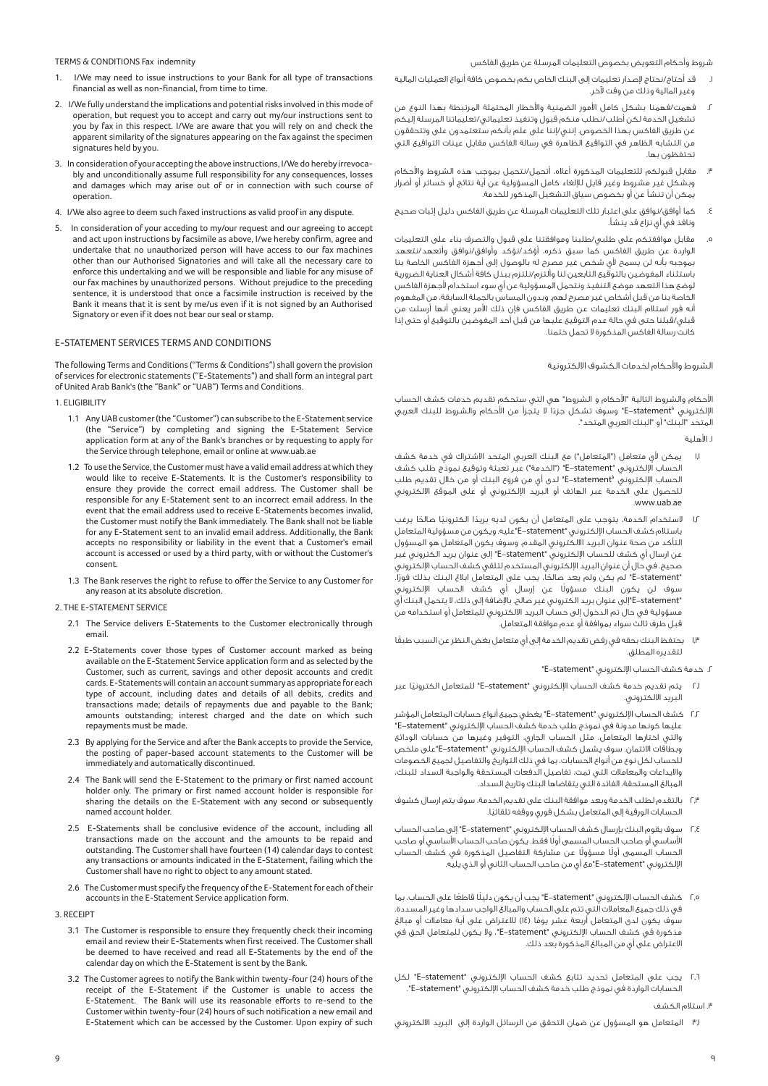TERMS & CONDITIONS Fax indemnity

- 1. I/We may need to issue instructions to your Bank for all type of transactions financial as well as non-financial, from time to time.
- 2. I/We fully understand the implications and potential risks involved in this mode of operation, but request you to accept and carry out my/our instructions sent to you by fax in this respect. I/We are aware that you will rely on and check the apparent similarity of the signatures appearing on the fax against the specimen signatures held by you.
- 3. In consideration of your accepting the above instructions, I/We do hereby irrevocably and unconditionally assume full responsibility for any consequences, losses and damages which may arise out of or in connection with such course of operation.
- 4. I/We also agree to deem such faxed instructions as valid proof in any dispute.
- 5. In consideration of your acceding to my/our request and our agreeing to accept and act upon instructions by facsimile as above, I/we hereby confirm, agree and undertake that no unauthorized person will have access to our fax machines other than our Authorised Signatories and will take all the necessary care to enforce this undertaking and we will be responsible and liable for any misuse of our fax machines by unauthorized persons. Without prejudice to the preceding sentence, it is understood that once a facsimile instruction is received by the Bank it means that it is sent by me/us even if it is not signed by an Authorised Signatory or even if it does not bear our seal or stamp.

### E-STATEMENT SERVICES TERMS AND CONDITIONS

The following Terms and Conditions ("Terms & Conditions") shall govern the provision of services for electronic statements ("E-Statements") and shall form an integral part of United Arab Bank's (the "Bank" or "UAB") Terms and Conditions.

1. ELIGIBILITY

- 1.1 Any UAB customer (the "Customer") can subscribe to the E-Statement service (the "Service") by completing and signing the E-Statement Service application form at any of the Bank's branches or by requesting to apply for the Service through telephone, email or online at www.uab.ae
- 1.2 To use the Service, the Customer must have a valid email address at which they would like to receive E-Statements. It is the Customer's responsibility to ensure they provide the correct email address. The Customer shall be responsible for any E-Statement sent to an incorrect email address. In the event that the email address used to receive E-Statements becomes invalid, the Customer must notify the Bank immediately. The Bank shall not be liable for any E-Statement sent to an invalid email address. Additionally, the Bank accepts no responsibility or liability in the event that a Customer's email account is accessed or used by a third party, with or without the Customer's consent.
- 1.3 The Bank reserves the right to refuse to offer the Service to any Customer for any reason at its absolute discretion.
- 2. THE E-STATEMENT SERVICE
	- 2.1 The Service delivers E-Statements to the Customer electronically through email.
	- 2.2 E-Statements cover those types of Customer account marked as being available on the E-Statement Service application form and as selected by the Customer, such as current, savings and other deposit accounts and credit cards. E-Statements will contain an account summary as appropriate for each type of account, including dates and details of all debits, credits and transactions made; details of repayments due and payable to the Bank; amounts outstanding; interest charged and the date on which such repayments must be made.
	- 2.3 By applying for the Service and after the Bank accepts to provide the Service, the posting of paper-based account statements to the Customer will be immediately and automatically discontinued.
	- 2.4 The Bank will send the E-Statement to the primary or first named account holder only. The primary or first named account holder is responsible for sharing the details on the E-Statement with any second or subsequently named account holder.
	- 2.5 E-Statements shall be conclusive evidence of the account, including all transactions made on the account and the amounts to be repaid and outstanding. The Customer shall have fourteen (14) calendar days to contest any transactions or amounts indicated in the E-Statement, failing which the Customer shall have no right to object to any amount stated.
	- 2.6 The Customer must specify the frequency of the E-Statement for each of their accounts in the E-Statement Service application form.

3. RECEIPT

- 3.1 The Customer is responsible to ensure they frequently check their incoming email and review their E-Statements when first received. The Customer shall be deemed to have received and read all E-Statements by the end of the calendar day on which the E-Statement is sent by the Bank.
- 3.2 The Customer agrees to notify the Bank within twenty-four (24) hours of the receipt of the E-Statement if the Customer is unable to access the E-Statement. The Bank will use its reasonable efforts to re-send to the Customer within twenty-four (24) hours of such notification a new email and E-Statement which can be accessed by the Customer. Upon expiry of such

شروط وأحكام التعويض بخصوص التعليمات المرسلة عن طريق الفاكس

- .١ قد أحتاج/نحتاج µصدار تعليمات إلى البنك الخاص بكم بخصوص كافة أنواع العمليات المالية وغير المالية وذلك من وقت Úخر.
- .<br>٢. فهمت/فهمنا بشكل كامل الأمور الضمنية والأخطار المحتملة المرتبطة بهذا النوع من تشغيل الخدمة لكن أطلب/نطلب منكم قبول وتنفيذ تعليماتي/تعليماتنا المرسلة إليكم عن طريق الفاكس بهذا الخصوص. إنني/إننا على علم بأنكم ستعتمدون على وتتحققون من التشابه الظاهر في التواقيع الظاهرة في رسالة الفاكس مقابل عينات التواقيع التي تحتفظون بها.
- مقابل قبولكم للتعليمات المذكورة أعلاه، أتحمل/نتحمل بموجب هذه الشروط والأحكام وبشكل غير مشروط وغير قابل للإلغاء كامل المسؤولية عن أية نتائج أو خسائر أو أضرار يمكن أن تنشأ عن أو بخصوص سياق التشغيل المذكور للخدمة.
- .٤ كما أوافق/نوافق على اعتبار تلك التعليمات المرسلة عن طريق الفاكس دليل إثبات صحيح ونافذ في أي نزاع قد ينشأ.
- .٥ مقابل موافقتكم على طلبي/طلبنا وموافقتنا على قبول والتصرف بناء على التعليمات الواردة عن طريق الفاكس كما سبق ذكره، أؤكد/نؤكد وأوافق/نوافق وأتعهد/نتعهد بموجبه بأنه لن يسمح لأي شخص غير مصرح له بالوصول إلى أجهزة الفاكس الخاصة بنا باستثناء المفوضين بالتوقيع التابعين لنا وألتزم/نلتزم ببذل كافة أشكال العناية الضرورية لوضع هذا التعهد موضع التنفيذ ونتحمل المسؤولية عن أي سوء استخدام لأجهزة الفاكس الخاصة بنا من قبل أشخاص غير مصرح لهم. وبدون المساس بالجملة السابقة، من المفهوم أنه فور استلام البنك تعليمات عن طريق الفاكس فإن ذلك الأمر يعني أنها أرسلت من قبلي/قبلنا حتى في حالة عدم التوقيع عليها من قبل أحد المفوضين بالتوقيع أو حتى إذا كانت رسالة الفاكس المذكورة لا تحمل ختمنا.

الشروط والأحكام لخدمات الكشوف الالكترونية

احكام والشروط التالية "احكام و الشروط" هي التي ستحكم تقديم خدمات كشف الحساب الإلكتروني "E-statement" وسوف تشكل جزءا لا يتجزأ من الأحكام والشروط للبنك العربي المتحد "البنك" أو "البنك العربي المتحد".

.١ اهلية

- يمكن لأي متعامل ("المتعامل") مع البنك العربي المتحد الاشتراك في خدمة كشف الحساب اµلكتروني "statement-E") "الخدمة") عبر تعبئة وتوقيع نموذج طلب كشف الحساب اµلكتروني "ُstatement-E "لدى أي من فروع البنك أو من خلال تقديم طلب للحصول على الخدمة عبر الهاتف أو البريد اµلكتروني أو على الموقع الالكتروني .www.uab.ae
- ا,ا لاستخدام الخدمة، يتوجب على المتعامل أن يكون لديه بريدًا الكترونيًا صالحًا يرغب باستلام كشف الحساب اµلكتروني "statement-E"عليه. ويكون من مسؤولية المتعامل التأكد من صحة عنوان البريد الالكتروني المقدم. وسوف يكون المتعامل هو المسؤول عن ارسال أي كشف للحساب اµلكتروني "statement-E "إلى عنوان بريد الكتروني غير صحيح. في حال أن عنوان البريد اµلكتروني المستخدم لتلقي كشف الحساب اµلكتروني 'E-statement' لم يكن ولم يعد صالحًا، يجب على المتعامل ابلاغ البنك بذلك فورًا. ً سوف لن يكون البنك مسؤولا عن إرسال أي كشف الحساب اµلكتروني "statement-E"إلى عنوان بريد الكتروني غير صالح. باµضافة إلى ذلك، لا يتحمل البنك أي مسؤولية في حال تم الدخول إلى حساب البريد الالكتروني للمتعامل أو استخدامه من قبل طرف ثالث سواء بموافقة أو عدم موافقة المتعامل.
- ١٫٣ ً يحتفظ البنك بحقه في رفض تقديم الخدمة إلى أي متعامل بغض النظر عن السبب طبقًا لتقديره المطلق.

.٢ خدمة كشف الحساب اµلكتروني "statement-E"

- ٢٫١ يتم تقديم خدمة كشف الحساب اµلكتروني "statement-E ً " للمتعامل الكترونيا عبر البريد الالكتروني.
- ٢٫٢ كشف الحساب اµلكتروني "statement-E "يغطي جميع أنواع حسابات المتعامل المؤشر عليها كونها مدونة في نموذج طلب خدمة كشف الحساب اµلكتروني "statement-E " والتي اختارها المتعامل، مثل الحساب الجاري، التوفير وغيرها من حسابات الودائع وبطاقات الائتمان. سوف يشمل كشف الحساب اµلكتروني "statement-E"على ملخص للحساب لكل نوع من أنواع الحسابات، بما في ذلك التواريخ والتفاصيل لجميع الخصومات والايداعات والمعاملات التي تمت، تفاصيل الدفعات المستحقة والواجبة السداد للبنك، المبالغ المستحقة، الفائدة التي يتقاضاها البنك وتاريخ السداد.
- ٢٫٣ بالتقدم لطلب الخدمة وبعد موافقة البنك على تقديم الخدمة، سوف يتم ارسال كشوف ً الحسابات الورقية إلى المتعامل بشكل فوري ووقفه تلقائيا.
- ٢٫٤ سوف يقوم البنك بإرسال كشف الحساب اµلكتروني "statement-E "إلى صاحب الحساب ً اساسي أو صاحب الحساب المسمى أولا فقط. يكون صاحب الحساب اساسي أو صاحب ً .<br>الحساب المسمى أولًا مسؤولًا عن مشاركة التفاصيل المذكورة في كشف الحساب اµلكتروني "statement-E"مع أي من صاحب الحساب الثاني أو الذي يليه.
- ٢٫٥ كشف الحساب اµلكتروني "statement-E ً " يجب أن يكون دليل ً ا قاطعا على الحساب، بما في ذلك جميع المعاملات التي تتم على الحساب والمبالغ الواجب سدادها وغير المسددة. ً سوف يكون لدى المتعامل أربعة عشر يوما (١٤) للاعتراض على أية معاملات أو مبالغ مذكورة في كشف الحساب اµلكتروني "statement-E"، ولا يكون للمتعامل الحق في الاعتراض على أي من المبالغ المذكورة بعد ذلك.
- ٢٫٦ يجب على المتعامل تحديد تتابع كشف الحساب اµلكتروني "statement-E "لكل الحسابات الواردة في نموذج طلب خدمة كشف الحساب اµلكتروني "statement-E".

.٣ استلام الكشف

٣٫١ المتعامل هو المسؤول عن ضمان التحقق من الرسائل الواردة إلى البريد الالكتروني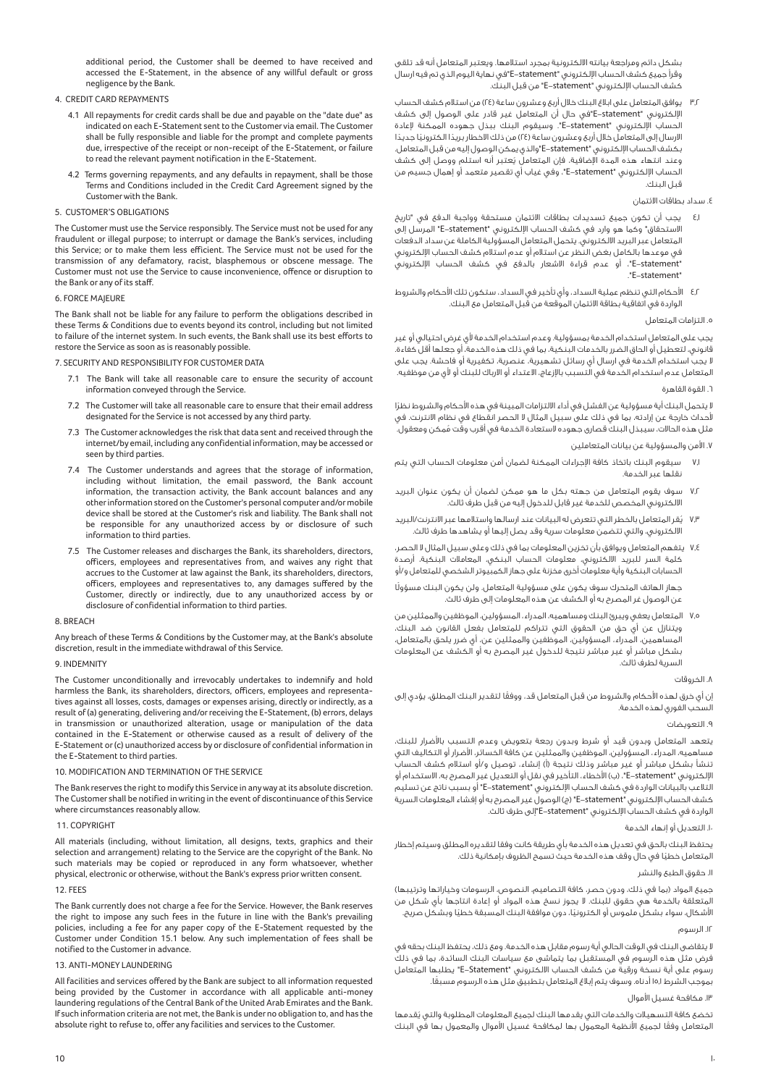بشكل دائم ومراجعة بيانته الالكترونية بمجرد استلامها. ويعتبر المتعامل أنه قد تلقى وقرأ جميع كشف الحساب اµلكتروني "statement-E"في نهاية اليوم الذي تم فيه ارسال كشف الحساب اµلكتروني "statement-E "من قبل البنك.

٣٫٢ يوافق المتعامل على ابلاغ البنك خلال أربع وعشرون ساعة (٢٤) من استلام كشف الحساب اµلكتروني "statement-E"في حال أن المتعامل غير قادر على الوصول إلى كشف الحساب اµلكتروني "statement-E". وسيقوم البنك ببذل جهوده الممكنة µعادة الارسال إلى المتعامل خلال أربع وعشرون ساعة (٢٤ ً ) من ذلك الاخطار بريد ً ا الكتروني ً ا جديدا بكشف الحساب اµلكتروني "statement-E"والذي يمكن الوصول إليه من قبل المتعامل. ُ وعند انتهاء هذه المدة اµضافية، فإن المتعامل يعتبر أنه استلم ووصل إلى كشف الحساب اµلكتروني "statement-E"، وفي غياب أي تقصير متعمد أو إهمال جسيم من قبل البنك.

# .٤ سداد بطاقات الائتمان

- ٤٫١ يجب أن تكون جميع تسديدات بطاقات الائتمان مستحقة وواجبة الدفع في "تاريخ الاستحقاق" وكما هو وارد في كشف الحساب اµلكتروني "statement-E "المرسل إلى المتعامل عبر البريد الالكتروني. يتحمل المتعامل المسؤولية الكاملة عن سداد الدفعات في موعدها بالكامل بغض النظر عن استلام أو عدم استلام كشف الحساب اµلكتروني .<br>"E–statement"، أو عدم قراءة الاشعار بالدفع في كشف الحساب الإلكتروني ."E-statement"
- ٤٫٢ الأحكام التي تنظم عملية السداد، وأي تأخير في السداد، ستكون تلك الأحكام والشروط الواردة في اتفاقية بطاقة الائتمان الموقعة من قبل المتعامل مع البنك.

# .٥ التزامات المتعامل

يجب على المتعامل استخدام الخدمة بمسؤولية. وعدم استخدام الخدمة لأي غرض احتيالي أو غير قانوني، لتعطيل أو الحاق الضرر بالخدمات البنكية، بما في ذلك هذه الخدمة، أو جعلها أقل كفاءة. لا يجب استخدام الخدمة في ارسال أي رسائل تشهيرية، عنصرية، تكفيرية أو فاحشة. يجب على المتعامل عدم استخدام الخدمة في التسبب باµزعاج، الاعتداء أو الارباك للبنك أو ي من موظفيه.

## .٦ القوة القاهرة

ً لا يتحمل البنك أية مسؤولية عن الفشل في أداء الالتزامات المبينة في هذه احكام والشروط نظرا حداث خارجة عن إرادته، بما في ذلك على سبيل المثال لا الحصر انقطاع في نظام الانترنت. في ُ مثل هذه الحالات، سيبذل البنك قصارى جهوده لاستعادة الخدمة في أقرب وقت ممكن ومعقول.

.<br>١. الأمن والمسؤولية عن بيانات المتعاملين

- سيقوم البنك باتخاذ كافة الإجراءات الممكنة لضمان أمن معلومات الحساب التي يتم نقلها عبر الخدمة.
- ٧٫٢ سوف يقوم المتعامل من جهته بكل ما هو ممكن لضمان أن يكون عنوان البريد الالكتروني المخصص للخدمة غير قابل للدخول إليه من قبل طرف ثالث.
- يُقر المتعامل بالخطر التي تتعرض له البيانات عند ارسالها واستلامها عبر الانترنت/البريد الالكتروني، والتي تتضمن معلومات سرية وقد يصل إليها أو يشاهدها طرف ثالث.
- ٧٫٤ يتفهم المتعامل ويوافق بأن تخزين المعلومات بما في ذلك وعلى سبيل المثال لا الحصر، كلمة السر للبريد الالكتروني، معلومات الحساب البنكي، المعاملات البنكية، أرصدة الحسابات البنكية وأية معلومات أخرى مخزنة على جهاز الكمبيوتر الشخصي للمتعامل و/أو

ً جهاز الهاتف المتحرك سوف يكون على مسؤولية المتعامل. ولن يكون البنك مسؤولا عن الوصول غر المصرح به أو الكشف عن هذه المعلومات إلى طرف ثالث.

٧٫٥ المتعامل يعفي ويبرئ البنك ومساهميه، المدراء، المسؤولين، الموظفين والممثلين من ويتنازل عن أي حق من الحقوق التي تتراكم للمتعامل بفعل القانون ضد البنك، المساهمين، المدراء، المسؤولين، الموظفين والممثلين عن، أي ضرر يلحق بالمتعامل، بشكل مباشر أو غير مباشر نتيجة للدخول غير المصرح به أو الكشف عن المعلومات السرية لطرف ثالث.

# .٨ الخروقات

ً إن أي خرق لهذه احكام والشروط من قبل المتعامل قد، ووفقا لتقدير البنك المطلق، يؤدي إلى السحب الفوري لهذه الخدمة.

# .٩ التعويضات

يتعهد المتعامل وبدون قيد أو شرط وبدون رجعة بتعويض وعدم التسبب باضرار للبنك، مساهميه، المدراء، المسؤولين، الموظفين والممثلين عن كافة الخسائر، اضرار أو التكاليف التي تنشأ بشكل مباشر أو غير مباشر وذلك نتيجة (أ) إنشاء، توصيل و/أو استلام كشف الحساب اµلكتروني "statement-E"،) ب) اخطاء، التأخير في نقل أو التعديل غير المصرح به، الاستخدام أو التلاعب بالبيانات الواردة في كشف الحساب اµلكتروني "statement-E "أو بسبب ناتج عن تسليم كشف الحساب اµلكتروني "statement-E) "ج) الوصول غير المصرح به أو إفشاء المعلومات السرية الواردة في كشف الحساب اµلكتروني "statement-E"إلى طرف ثالث.

## .١٠ التعديل أو إنهاء الخدمة

يحتفظ البنك بالحق في تعديل هذه الخدمة بأي طريقة كانت وفقا لتقديره المطلق وسيتم إخطار ً المتعامل خطيا في حال وقف هذه الخدمة حيث تسمح الظروف بإمكانية ذلك.

## .١١ حقوق الطبع والنشر

جميع المواد (بما في ذلك، ودون حصر، كافة التصاميم، النصوص، الرسومات وخياراتها وترتيبها) المتعلقة بالخدمة هي حقوق للبنك. لا يجوز نسخ هذه المواد أو إعادة انتاجها بأي شكل من ً اشكال، سواء بشكل ملموس أو الكتروني ً ا، دون موافقة البنك المسبقة خطيا وبشكل صريح. .١٢ الرسوم

لا يتقاضى البنك في الوقت الحالي أية رسوم مقابل هذه الخدمة. ومع ذلك، يحتفظ البنك بحقه في فرض مثل هذه الرسوم في المستقبل بما يتماشى مع سياسات البنك السائدة، بما في ذلك رسوم على أية نسخة ورقية من كشف الحساب الالكتروني "Statement-E "يطلبها المتعامل بموجب الشرط ١٥٫١ ً أدناه. وسوف يتم إبلاغ المتعامل بتطبيق مثل هذه الرسوم مسبقا.

# ١٣. مكافحة غسيل الأموال

ُ تخضع كافة التسهيلات والخدمات التي يقدمها البنك لجميع المعلومات المطلوبة والتي يقدمها المتعامل وفقًا لجميع الأنظمة المعمول بها لمكافحة غسيل الأموال والمعمول بها في البنك

additional period, the Customer shall be deemed to have received and accessed the E-Statement, in the absence of any willful default or gross negligence by the Bank.

# 4. CREDIT CARD REPAYMENTS

- 4.1 All repayments for credit cards shall be due and payable on the "date due" as indicated on each E-Statement sent to the Customer via email. The Customer shall be fully responsible and liable for the prompt and complete payments due, irrespective of the receipt or non-receipt of the E-Statement, or failure to read the relevant payment notification in the E-Statement.
- 4.2 Terms governing repayments, and any defaults in repayment, shall be those Terms and Conditions included in the Credit Card Agreement signed by the Customer with the Bank.

# 5. CUSTOMER'S OBLIGATIONS

The Customer must use the Service responsibly. The Service must not be used for any fraudulent or illegal purpose; to interrupt or damage the Bank's services, including this Service; or to make them less efficient. The Service must not be used for the transmission of any defamatory, racist, blasphemous or obscene message. The Customer must not use the Service to cause inconvenience, offence or disruption to the Bank or any of its staff.

# 6. FORCE MAJEURE

The Bank shall not be liable for any failure to perform the obligations described in these Terms & Conditions due to events beyond its control, including but not limited to failure of the internet system. In such events, the Bank shall use its best efforts to restore the Service as soon as is reasonably possible.

# 7. SECURITY AND RESPONSIBILITY FOR CUSTOMER DATA

- 7.1 The Bank will take all reasonable care to ensure the security of account information conveyed through the Service.
- 7.2 The Customer will take all reasonable care to ensure that their email address designated for the Service is not accessed by any third party.
- 7.3 The Customer acknowledges the risk that data sent and received through the internet/by email, including any confidential information, may be accessed or seen by third parties.
- 7.4 The Customer understands and agrees that the storage of information, including without limitation, the email password, the Bank account information, the transaction activity, the Bank account balances and any other information stored on the Customer's personal computer and/or mobile device shall be stored at the Customer's risk and liability. The Bank shall not be responsible for any unauthorized access by or disclosure of such information to third parties.
- 7.5 The Customer releases and discharges the Bank, its shareholders, directors, officers, employees and representatives from, and waives any right that accrues to the Customer at law against the Bank, its shareholders, directors, officers, employees and representatives to, any damages suffered by the Customer, directly or indirectly, due to any unauthorized access by or disclosure of confidential information to third parties.

## 8. BREACH

Any breach of these Terms & Conditions by the Customer may, at the Bank's absolute discretion, result in the immediate withdrawal of this Service.

# 9. INDEMNITY

The Customer unconditionally and irrevocably undertakes to indemnify and hold harmless the Bank, its shareholders, directors, officers, employees and representatives against all losses, costs, damages or expenses arising, directly or indirectly, as a result of (a) generating, delivering and/or receiving the E-Statement, (b) errors, delays in transmission or unauthorized alteration, usage or manipulation of the data contained in the E-Statement or otherwise caused as a result of delivery of the E-Statement or (c) unauthorized access by or disclosure of confidential information in the E-Statement to third parties.

# 10. MODIFICATION AND TERMINATION OF THE SERVICE

The Bank reserves the right to modify this Service in any way at its absolute discretion. The Customer shall be notified in writing in the event of discontinuance of this Service where circumstances reasonably allow.

# 11. COPYRIGHT

All materials (including, without limitation, all designs, texts, graphics and their selection and arrangement) relating to the Service are the copyright of the Bank. No such materials may be copied or reproduced in any form whatsoever, whether physical, electronic or otherwise, without the Bank's express prior written consent.

# 12. FEES

The Bank currently does not charge a fee for the Service. However, the Bank reserves the right to impose any such fees in the future in line with the Bank's prevailing policies, including a fee for any paper copy of the E-Statement requested by the Customer under Condition 15.1 below. Any such implementation of fees shall be notified to the Customer in advance.

# 13. ANTI-MONEY LAUNDERING

All facilities and services offered by the Bank are subject to all information requested being provided by the Customer in accordance with all applicable anti-money laundering regulations of the Central Bank of the United Arab Emirates and the Bank. If such information criteria are not met, the Bank is under no obligation to, and has the absolute right to refuse to, offer any facilities and services to the Customer.